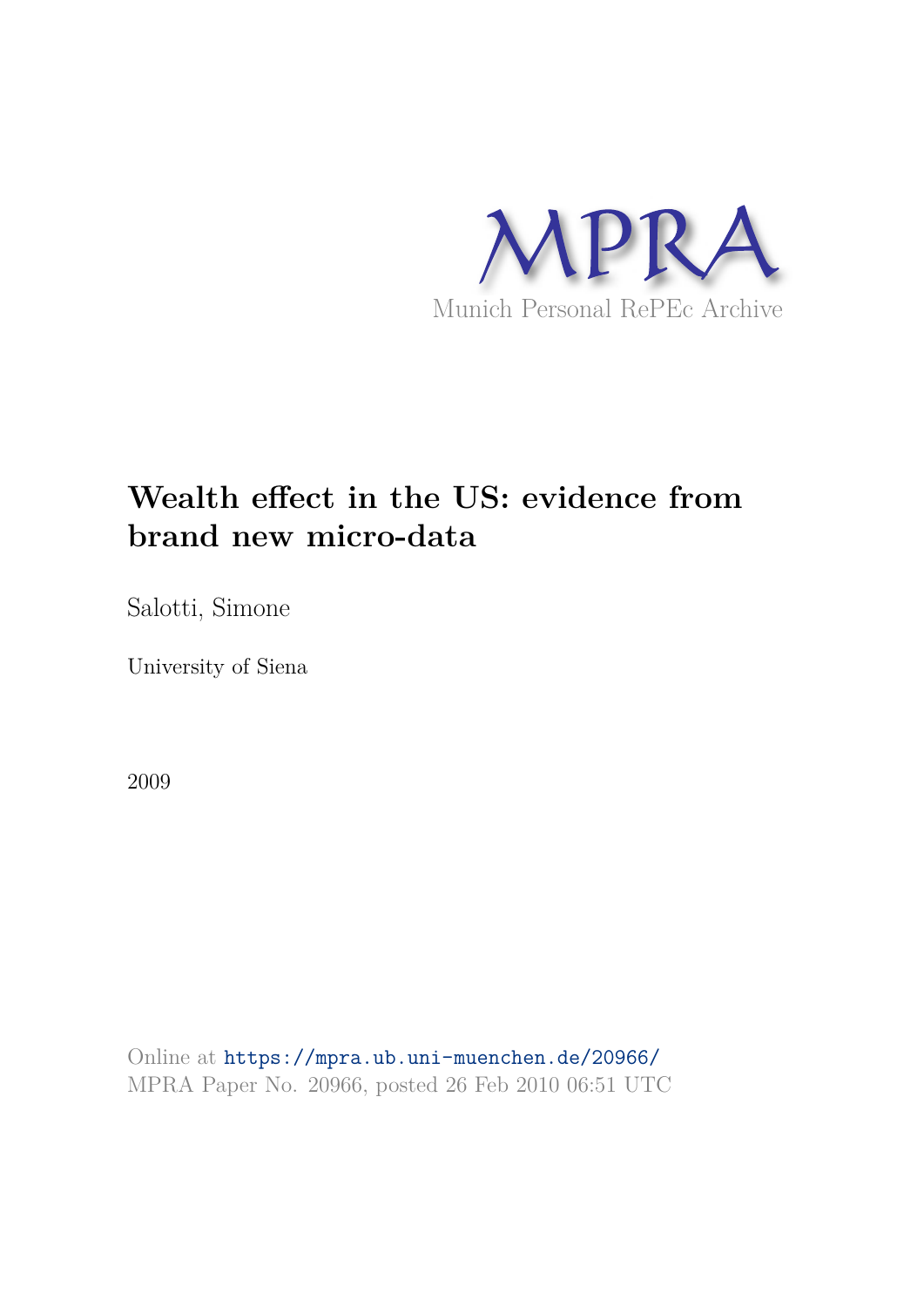

# **Wealth effect in the US: evidence from brand new micro-data**

Salotti, Simone

University of Siena

2009

Online at https://mpra.ub.uni-muenchen.de/20966/ MPRA Paper No. 20966, posted 26 Feb 2010 06:51 UTC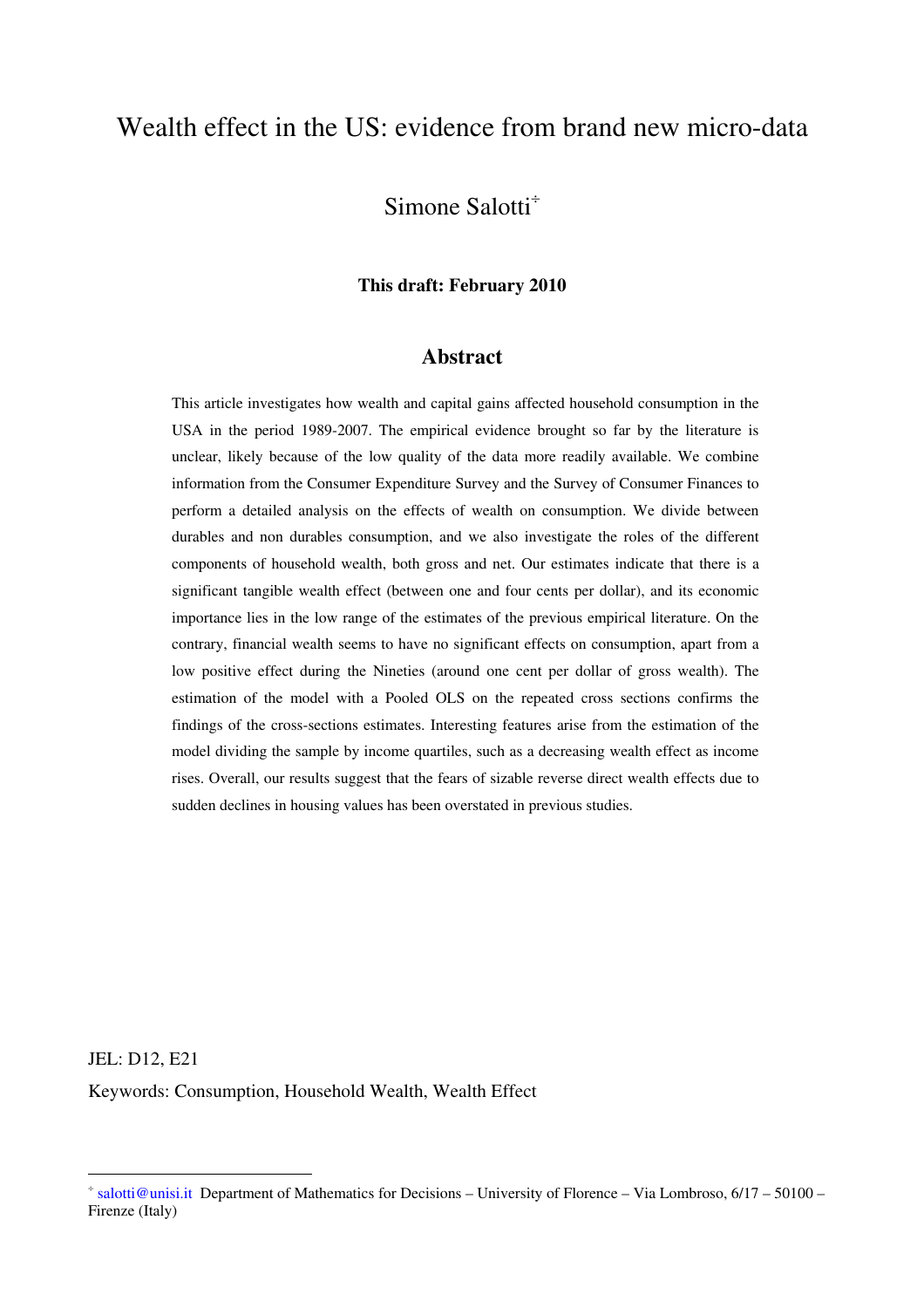# Wealth effect in the US: evidence from brand new micro-data

## Simone Salotti<sup>÷</sup>

#### **This draft: February 2010**

#### **Abstract**

This article investigates how wealth and capital gains affected household consumption in the USA in the period 1989-2007. The empirical evidence brought so far by the literature is unclear, likely because of the low quality of the data more readily available. We combine information from the Consumer Expenditure Survey and the Survey of Consumer Finances to perform a detailed analysis on the effects of wealth on consumption. We divide between durables and non durables consumption, and we also investigate the roles of the different components of household wealth, both gross and net. Our estimates indicate that there is a significant tangible wealth effect (between one and four cents per dollar), and its economic importance lies in the low range of the estimates of the previous empirical literature. On the contrary, financial wealth seems to have no significant effects on consumption, apart from a low positive effect during the Nineties (around one cent per dollar of gross wealth). The estimation of the model with a Pooled OLS on the repeated cross sections confirms the findings of the cross-sections estimates. Interesting features arise from the estimation of the model dividing the sample by income quartiles, such as a decreasing wealth effect as income rises. Overall, our results suggest that the fears of sizable reverse direct wealth effects due to sudden declines in housing values has been overstated in previous studies.

JEL: D12, E21 Keywords: Consumption, Household Wealth, Wealth Effect

 $\overline{a}$ 

<sup>÷</sup> salotti@unisi.it Department of Mathematics for Decisions – University of Florence – Via Lombroso, 6/17 – 50100 – Firenze (Italy)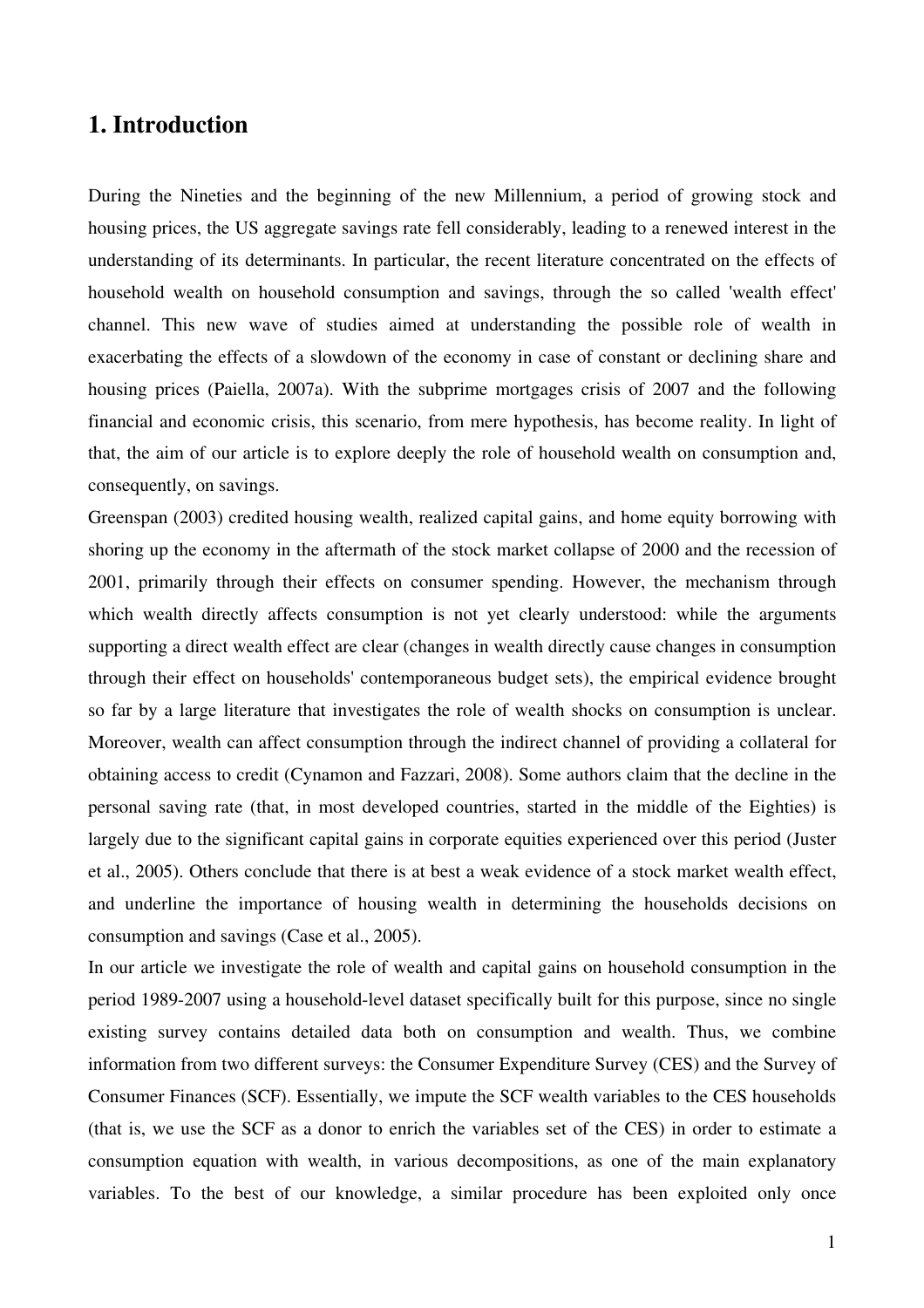## **1. Introduction**

During the Nineties and the beginning of the new Millennium, a period of growing stock and housing prices, the US aggregate savings rate fell considerably, leading to a renewed interest in the understanding of its determinants. In particular, the recent literature concentrated on the effects of household wealth on household consumption and savings, through the so called 'wealth effect' channel. This new wave of studies aimed at understanding the possible role of wealth in exacerbating the effects of a slowdown of the economy in case of constant or declining share and housing prices (Paiella, 2007a). With the subprime mortgages crisis of 2007 and the following financial and economic crisis, this scenario, from mere hypothesis, has become reality. In light of that, the aim of our article is to explore deeply the role of household wealth on consumption and, consequently, on savings.

Greenspan (2003) credited housing wealth, realized capital gains, and home equity borrowing with shoring up the economy in the aftermath of the stock market collapse of 2000 and the recession of 2001, primarily through their effects on consumer spending. However, the mechanism through which wealth directly affects consumption is not yet clearly understood: while the arguments supporting a direct wealth effect are clear (changes in wealth directly cause changes in consumption through their effect on households' contemporaneous budget sets), the empirical evidence brought so far by a large literature that investigates the role of wealth shocks on consumption is unclear. Moreover, wealth can affect consumption through the indirect channel of providing a collateral for obtaining access to credit (Cynamon and Fazzari, 2008). Some authors claim that the decline in the personal saving rate (that, in most developed countries, started in the middle of the Eighties) is largely due to the significant capital gains in corporate equities experienced over this period (Juster et al., 2005). Others conclude that there is at best a weak evidence of a stock market wealth effect, and underline the importance of housing wealth in determining the households decisions on consumption and savings (Case et al., 2005).

In our article we investigate the role of wealth and capital gains on household consumption in the period 1989-2007 using a household-level dataset specifically built for this purpose, since no single existing survey contains detailed data both on consumption and wealth. Thus, we combine information from two different surveys: the Consumer Expenditure Survey (CES) and the Survey of Consumer Finances (SCF). Essentially, we impute the SCF wealth variables to the CES households (that is, we use the SCF as a donor to enrich the variables set of the CES) in order to estimate a consumption equation with wealth, in various decompositions, as one of the main explanatory variables. To the best of our knowledge, a similar procedure has been exploited only once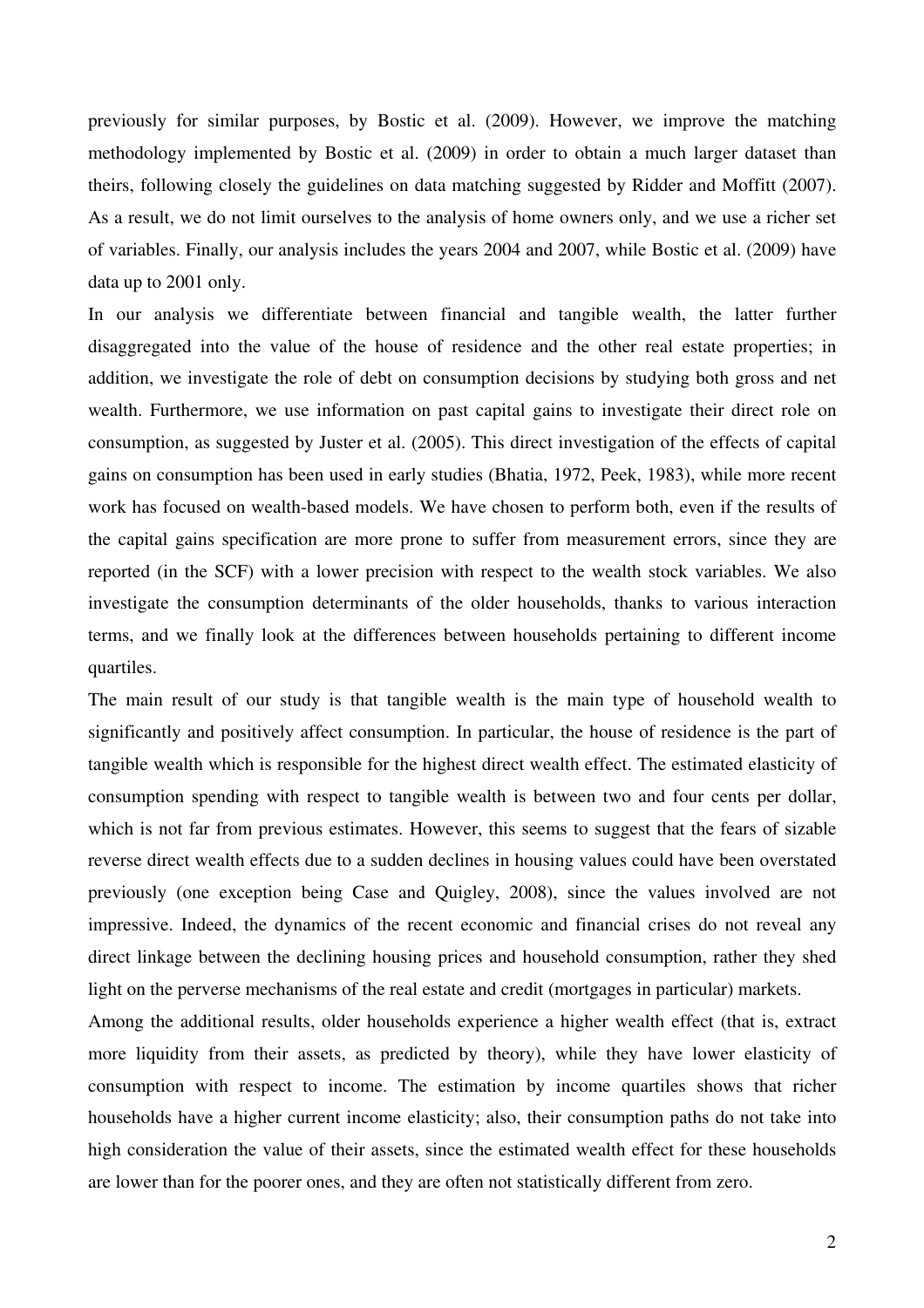previously for similar purposes, by Bostic et al. (2009). However, we improve the matching methodology implemented by Bostic et al. (2009) in order to obtain a much larger dataset than theirs, following closely the guidelines on data matching suggested by Ridder and Moffitt (2007). As a result, we do not limit ourselves to the analysis of home owners only, and we use a richer set of variables. Finally, our analysis includes the years 2004 and 2007, while Bostic et al. (2009) have data up to 2001 only.

In our analysis we differentiate between financial and tangible wealth, the latter further disaggregated into the value of the house of residence and the other real estate properties; in addition, we investigate the role of debt on consumption decisions by studying both gross and net wealth. Furthermore, we use information on past capital gains to investigate their direct role on consumption, as suggested by Juster et al. (2005). This direct investigation of the effects of capital gains on consumption has been used in early studies (Bhatia, 1972, Peek, 1983), while more recent work has focused on wealth-based models. We have chosen to perform both, even if the results of the capital gains specification are more prone to suffer from measurement errors, since they are reported (in the SCF) with a lower precision with respect to the wealth stock variables. We also investigate the consumption determinants of the older households, thanks to various interaction terms, and we finally look at the differences between households pertaining to different income quartiles.

The main result of our study is that tangible wealth is the main type of household wealth to significantly and positively affect consumption. In particular, the house of residence is the part of tangible wealth which is responsible for the highest direct wealth effect. The estimated elasticity of consumption spending with respect to tangible wealth is between two and four cents per dollar, which is not far from previous estimates. However, this seems to suggest that the fears of sizable reverse direct wealth effects due to a sudden declines in housing values could have been overstated previously (one exception being Case and Quigley, 2008), since the values involved are not impressive. Indeed, the dynamics of the recent economic and financial crises do not reveal any direct linkage between the declining housing prices and household consumption, rather they shed light on the perverse mechanisms of the real estate and credit (mortgages in particular) markets.

Among the additional results, older households experience a higher wealth effect (that is, extract more liquidity from their assets, as predicted by theory), while they have lower elasticity of consumption with respect to income. The estimation by income quartiles shows that richer households have a higher current income elasticity; also, their consumption paths do not take into high consideration the value of their assets, since the estimated wealth effect for these households are lower than for the poorer ones, and they are often not statistically different from zero.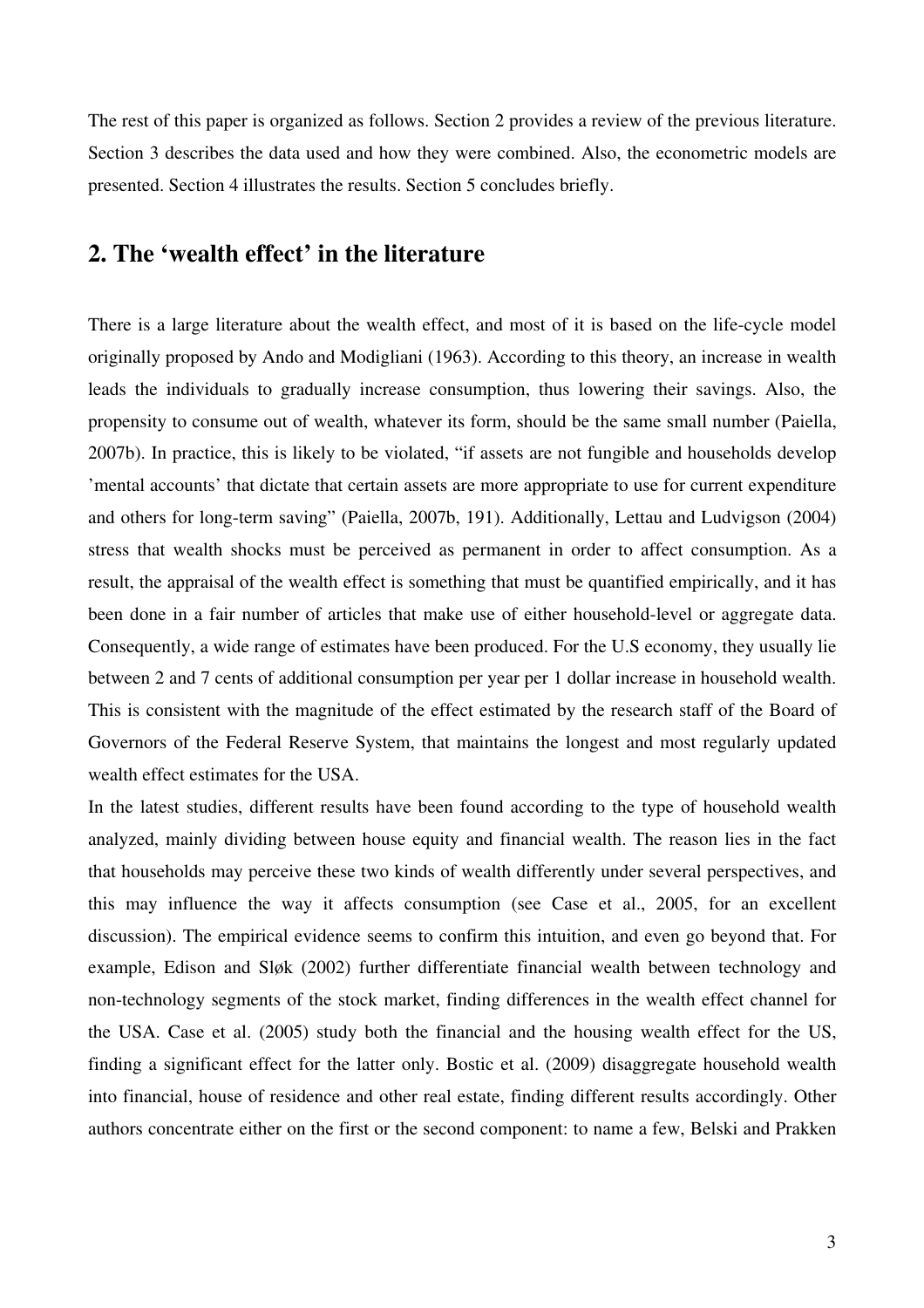The rest of this paper is organized as follows. Section 2 provides a review of the previous literature. Section 3 describes the data used and how they were combined. Also, the econometric models are presented. Section 4 illustrates the results. Section 5 concludes briefly.

# **2. The 'wealth effect' in the literature**

There is a large literature about the wealth effect, and most of it is based on the life-cycle model originally proposed by Ando and Modigliani (1963). According to this theory, an increase in wealth leads the individuals to gradually increase consumption, thus lowering their savings. Also, the propensity to consume out of wealth, whatever its form, should be the same small number (Paiella, 2007b). In practice, this is likely to be violated, "if assets are not fungible and households develop 'mental accounts' that dictate that certain assets are more appropriate to use for current expenditure and others for long-term saving" (Paiella, 2007b, 191). Additionally, Lettau and Ludvigson (2004) stress that wealth shocks must be perceived as permanent in order to affect consumption. As a result, the appraisal of the wealth effect is something that must be quantified empirically, and it has been done in a fair number of articles that make use of either household-level or aggregate data. Consequently, a wide range of estimates have been produced. For the U.S economy, they usually lie between 2 and 7 cents of additional consumption per year per 1 dollar increase in household wealth. This is consistent with the magnitude of the effect estimated by the research staff of the Board of Governors of the Federal Reserve System, that maintains the longest and most regularly updated wealth effect estimates for the USA.

In the latest studies, different results have been found according to the type of household wealth analyzed, mainly dividing between house equity and financial wealth. The reason lies in the fact that households may perceive these two kinds of wealth differently under several perspectives, and this may influence the way it affects consumption (see Case et al., 2005, for an excellent discussion). The empirical evidence seems to confirm this intuition, and even go beyond that. For example, Edison and Sløk (2002) further differentiate financial wealth between technology and non-technology segments of the stock market, finding differences in the wealth effect channel for the USA. Case et al. (2005) study both the financial and the housing wealth effect for the US, finding a significant effect for the latter only. Bostic et al. (2009) disaggregate household wealth into financial, house of residence and other real estate, finding different results accordingly. Other authors concentrate either on the first or the second component: to name a few, Belski and Prakken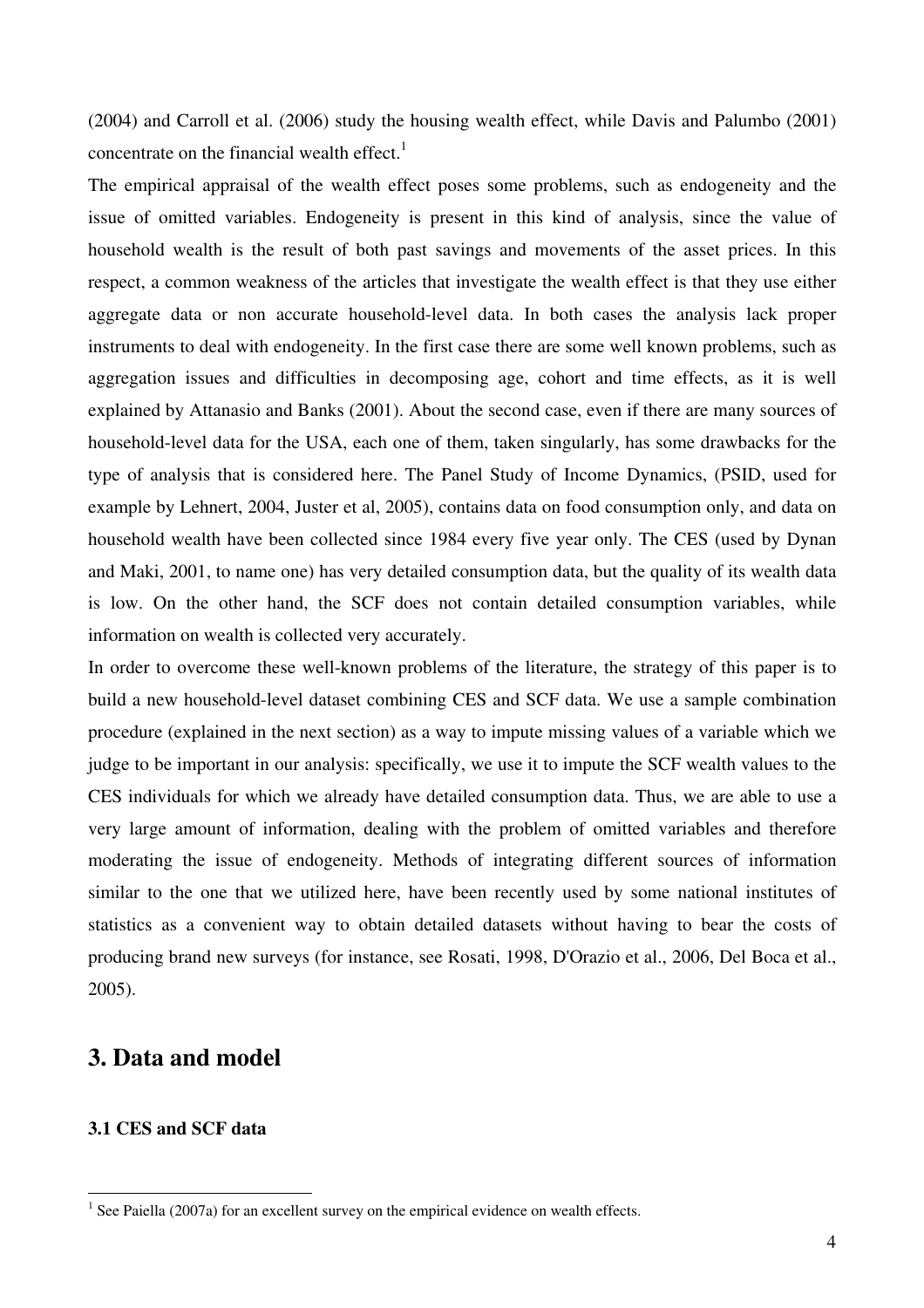(2004) and Carroll et al. (2006) study the housing wealth effect, while Davis and Palumbo (2001) concentrate on the financial wealth effect.<sup>1</sup>

The empirical appraisal of the wealth effect poses some problems, such as endogeneity and the issue of omitted variables. Endogeneity is present in this kind of analysis, since the value of household wealth is the result of both past savings and movements of the asset prices. In this respect, a common weakness of the articles that investigate the wealth effect is that they use either aggregate data or non accurate household-level data. In both cases the analysis lack proper instruments to deal with endogeneity. In the first case there are some well known problems, such as aggregation issues and difficulties in decomposing age, cohort and time effects, as it is well explained by Attanasio and Banks (2001). About the second case, even if there are many sources of household-level data for the USA, each one of them, taken singularly, has some drawbacks for the type of analysis that is considered here. The Panel Study of Income Dynamics, (PSID, used for example by Lehnert, 2004, Juster et al, 2005), contains data on food consumption only, and data on household wealth have been collected since 1984 every five year only. The CES (used by Dynan and Maki, 2001, to name one) has very detailed consumption data, but the quality of its wealth data is low. On the other hand, the SCF does not contain detailed consumption variables, while information on wealth is collected very accurately.

In order to overcome these well-known problems of the literature, the strategy of this paper is to build a new household-level dataset combining CES and SCF data. We use a sample combination procedure (explained in the next section) as a way to impute missing values of a variable which we judge to be important in our analysis: specifically, we use it to impute the SCF wealth values to the CES individuals for which we already have detailed consumption data. Thus, we are able to use a very large amount of information, dealing with the problem of omitted variables and therefore moderating the issue of endogeneity. Methods of integrating different sources of information similar to the one that we utilized here, have been recently used by some national institutes of statistics as a convenient way to obtain detailed datasets without having to bear the costs of producing brand new surveys (for instance, see Rosati, 1998, D'Orazio et al., 2006, Del Boca et al., 2005).

## **3. Data and model**

#### **3.1 CES and SCF data**

 $\overline{a}$ 

 $<sup>1</sup>$  See Paiella (2007a) for an excellent survey on the empirical evidence on wealth effects.</sup>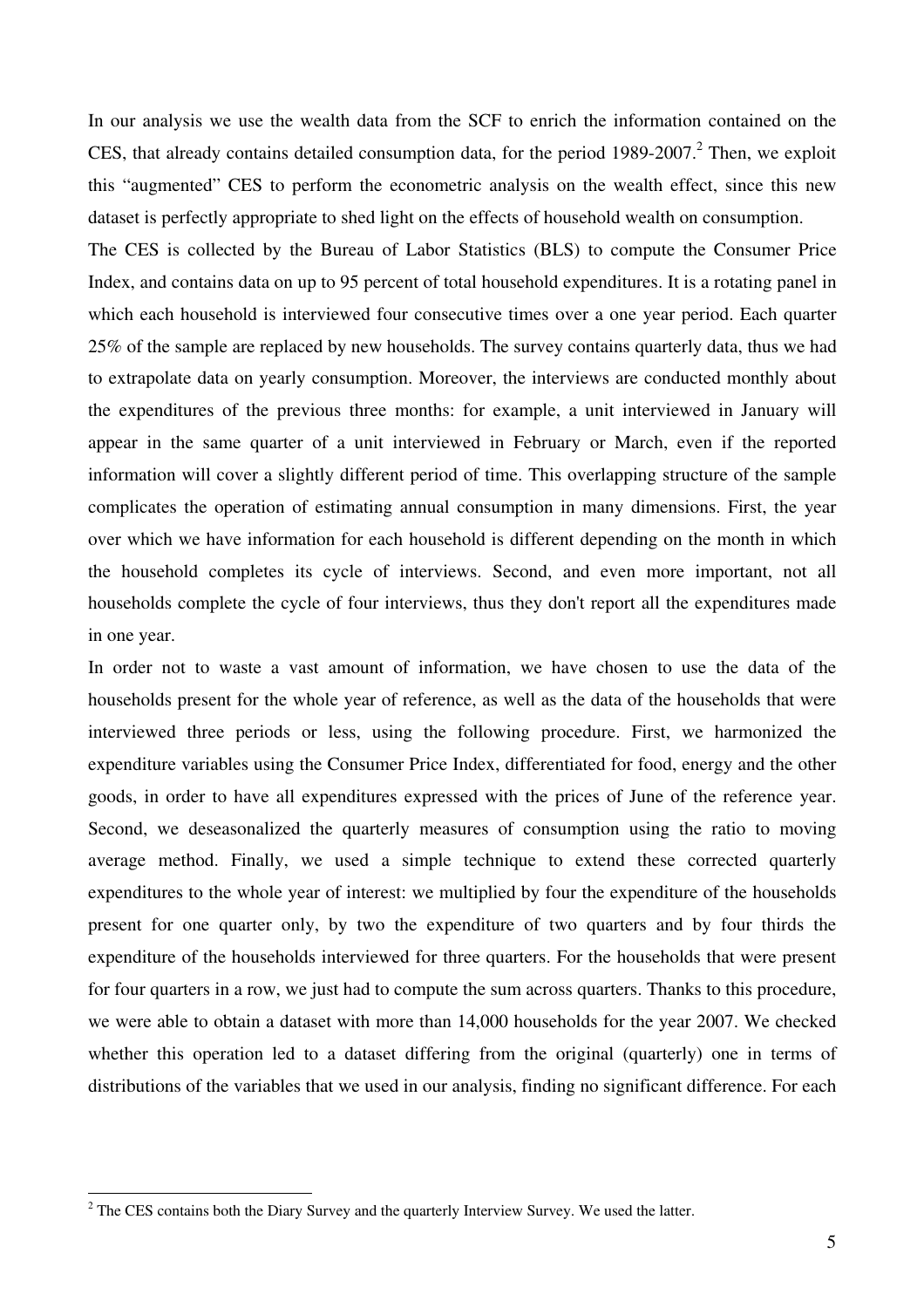In our analysis we use the wealth data from the SCF to enrich the information contained on the CES, that already contains detailed consumption data, for the period  $1989-2007$ .<sup>2</sup> Then, we exploit this "augmented" CES to perform the econometric analysis on the wealth effect, since this new dataset is perfectly appropriate to shed light on the effects of household wealth on consumption.

The CES is collected by the Bureau of Labor Statistics (BLS) to compute the Consumer Price Index, and contains data on up to 95 percent of total household expenditures. It is a rotating panel in which each household is interviewed four consecutive times over a one year period. Each quarter 25% of the sample are replaced by new households. The survey contains quarterly data, thus we had to extrapolate data on yearly consumption. Moreover, the interviews are conducted monthly about the expenditures of the previous three months: for example, a unit interviewed in January will appear in the same quarter of a unit interviewed in February or March, even if the reported information will cover a slightly different period of time. This overlapping structure of the sample complicates the operation of estimating annual consumption in many dimensions. First, the year over which we have information for each household is different depending on the month in which the household completes its cycle of interviews. Second, and even more important, not all households complete the cycle of four interviews, thus they don't report all the expenditures made in one year.

In order not to waste a vast amount of information, we have chosen to use the data of the households present for the whole year of reference, as well as the data of the households that were interviewed three periods or less, using the following procedure. First, we harmonized the expenditure variables using the Consumer Price Index, differentiated for food, energy and the other goods, in order to have all expenditures expressed with the prices of June of the reference year. Second, we deseasonalized the quarterly measures of consumption using the ratio to moving average method. Finally, we used a simple technique to extend these corrected quarterly expenditures to the whole year of interest: we multiplied by four the expenditure of the households present for one quarter only, by two the expenditure of two quarters and by four thirds the expenditure of the households interviewed for three quarters. For the households that were present for four quarters in a row, we just had to compute the sum across quarters. Thanks to this procedure, we were able to obtain a dataset with more than 14,000 households for the year 2007. We checked whether this operation led to a dataset differing from the original (quarterly) one in terms of distributions of the variables that we used in our analysis, finding no significant difference. For each

<sup>&</sup>lt;sup>2</sup> The CES contains both the Diary Survey and the quarterly Interview Survey. We used the latter.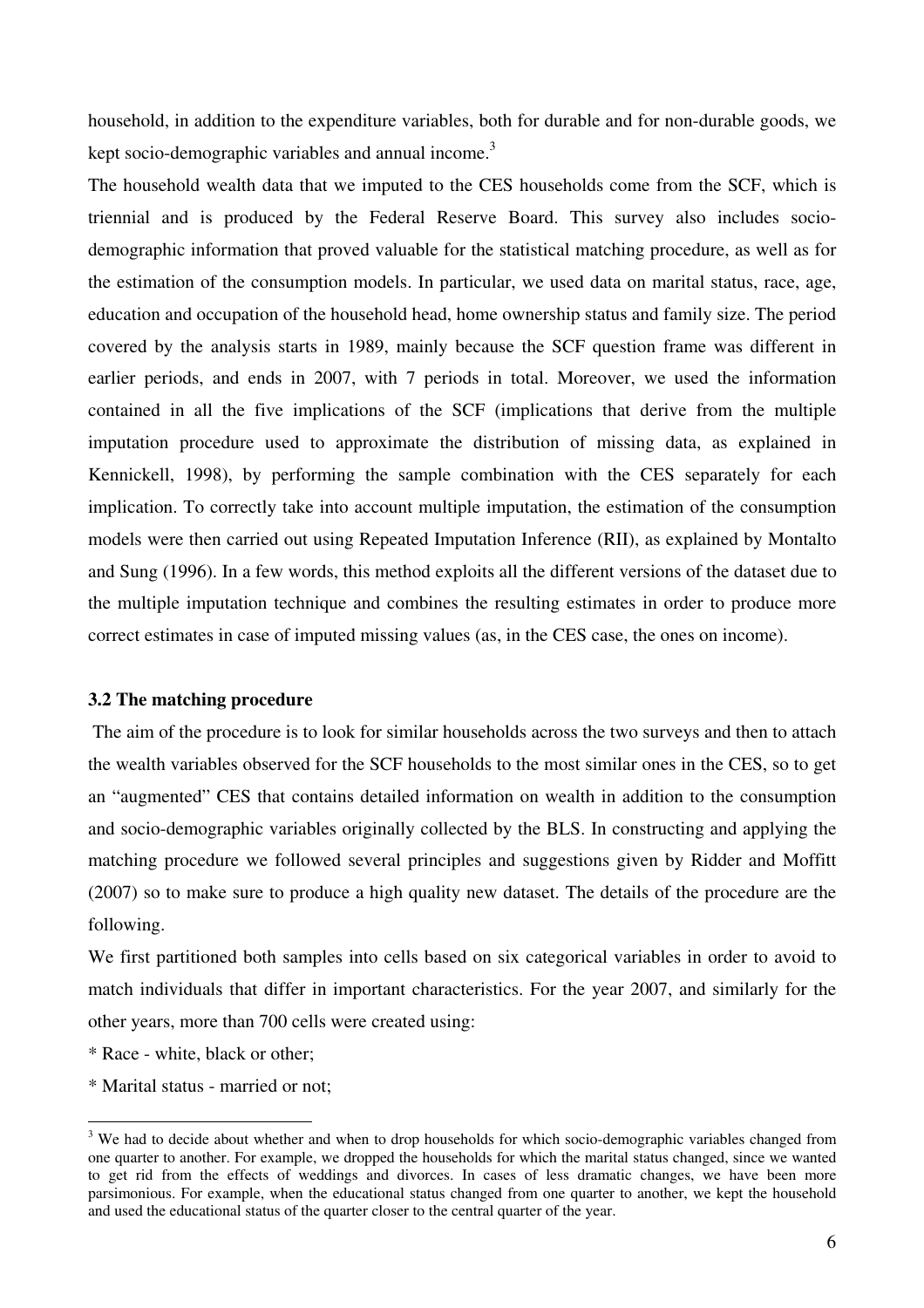household, in addition to the expenditure variables, both for durable and for non-durable goods, we kept socio-demographic variables and annual income.<sup>3</sup>

The household wealth data that we imputed to the CES households come from the SCF, which is triennial and is produced by the Federal Reserve Board. This survey also includes sociodemographic information that proved valuable for the statistical matching procedure, as well as for the estimation of the consumption models. In particular, we used data on marital status, race, age, education and occupation of the household head, home ownership status and family size. The period covered by the analysis starts in 1989, mainly because the SCF question frame was different in earlier periods, and ends in 2007, with 7 periods in total. Moreover, we used the information contained in all the five implications of the SCF (implications that derive from the multiple imputation procedure used to approximate the distribution of missing data, as explained in Kennickell, 1998), by performing the sample combination with the CES separately for each implication. To correctly take into account multiple imputation, the estimation of the consumption models were then carried out using Repeated Imputation Inference (RII), as explained by Montalto and Sung (1996). In a few words, this method exploits all the different versions of the dataset due to the multiple imputation technique and combines the resulting estimates in order to produce more correct estimates in case of imputed missing values (as, in the CES case, the ones on income).

#### **3.2 The matching procedure**

 The aim of the procedure is to look for similar households across the two surveys and then to attach the wealth variables observed for the SCF households to the most similar ones in the CES, so to get an "augmented" CES that contains detailed information on wealth in addition to the consumption and socio-demographic variables originally collected by the BLS. In constructing and applying the matching procedure we followed several principles and suggestions given by Ridder and Moffitt (2007) so to make sure to produce a high quality new dataset. The details of the procedure are the following.

We first partitioned both samples into cells based on six categorical variables in order to avoid to match individuals that differ in important characteristics. For the year 2007, and similarly for the other years, more than 700 cells were created using:

- \* Race white, black or other;
- \* Marital status married or not;

<sup>&</sup>lt;sup>3</sup> We had to decide about whether and when to drop households for which socio-demographic variables changed from one quarter to another. For example, we dropped the households for which the marital status changed, since we wanted to get rid from the effects of weddings and divorces. In cases of less dramatic changes, we have been more parsimonious. For example, when the educational status changed from one quarter to another, we kept the household and used the educational status of the quarter closer to the central quarter of the year.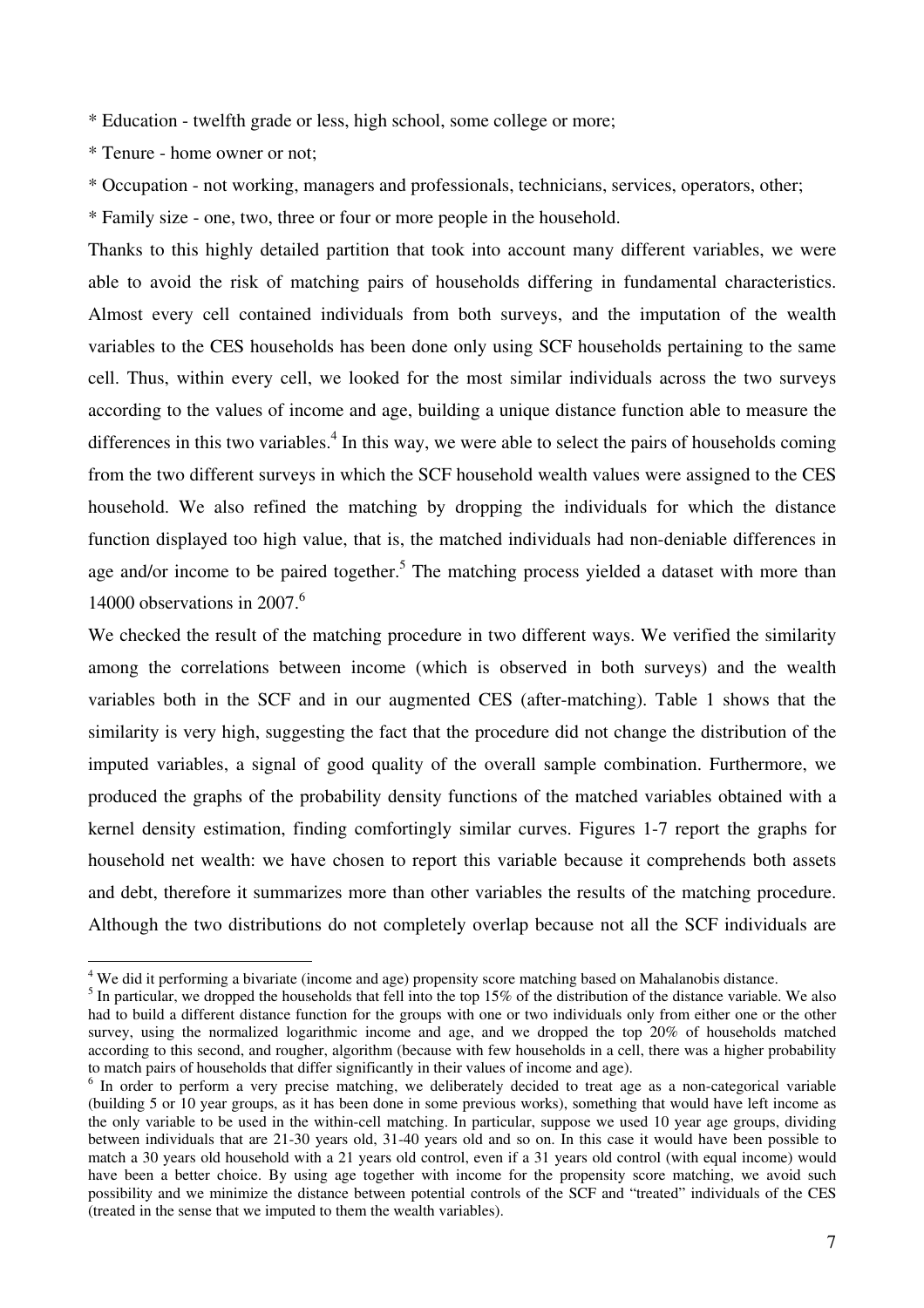\* Education - twelfth grade or less, high school, some college or more;

\* Tenure - home owner or not;

\* Occupation - not working, managers and professionals, technicians, services, operators, other;

\* Family size - one, two, three or four or more people in the household.

Thanks to this highly detailed partition that took into account many different variables, we were able to avoid the risk of matching pairs of households differing in fundamental characteristics. Almost every cell contained individuals from both surveys, and the imputation of the wealth variables to the CES households has been done only using SCF households pertaining to the same cell. Thus, within every cell, we looked for the most similar individuals across the two surveys according to the values of income and age, building a unique distance function able to measure the differences in this two variables.<sup>4</sup> In this way, we were able to select the pairs of households coming from the two different surveys in which the SCF household wealth values were assigned to the CES household. We also refined the matching by dropping the individuals for which the distance function displayed too high value, that is, the matched individuals had non-deniable differences in age and/or income to be paired together.<sup>5</sup> The matching process yielded a dataset with more than 14000 observations in 2007.<sup>6</sup>

We checked the result of the matching procedure in two different ways. We verified the similarity among the correlations between income (which is observed in both surveys) and the wealth variables both in the SCF and in our augmented CES (after-matching). Table 1 shows that the similarity is very high, suggesting the fact that the procedure did not change the distribution of the imputed variables, a signal of good quality of the overall sample combination. Furthermore, we produced the graphs of the probability density functions of the matched variables obtained with a kernel density estimation, finding comfortingly similar curves. Figures 1-7 report the graphs for household net wealth: we have chosen to report this variable because it comprehends both assets and debt, therefore it summarizes more than other variables the results of the matching procedure. Although the two distributions do not completely overlap because not all the SCF individuals are

 4 We did it performing a bivariate (income and age) propensity score matching based on Mahalanobis distance.

 $<sup>5</sup>$  In particular, we dropped the households that fell into the top 15% of the distribution of the distance variable. We also</sup> had to build a different distance function for the groups with one or two individuals only from either one or the other survey, using the normalized logarithmic income and age, and we dropped the top 20% of households matched according to this second, and rougher, algorithm (because with few households in a cell, there was a higher probability to match pairs of households that differ significantly in their values of income and age).

<sup>&</sup>lt;sup>6</sup> In order to perform a very precise matching, we deliberately decided to treat age as a non-categorical variable (building 5 or 10 year groups, as it has been done in some previous works), something that would have left income as the only variable to be used in the within-cell matching. In particular, suppose we used 10 year age groups, dividing between individuals that are 21-30 years old, 31-40 years old and so on. In this case it would have been possible to match a 30 years old household with a 21 years old control, even if a 31 years old control (with equal income) would have been a better choice. By using age together with income for the propensity score matching, we avoid such possibility and we minimize the distance between potential controls of the SCF and "treated" individuals of the CES (treated in the sense that we imputed to them the wealth variables).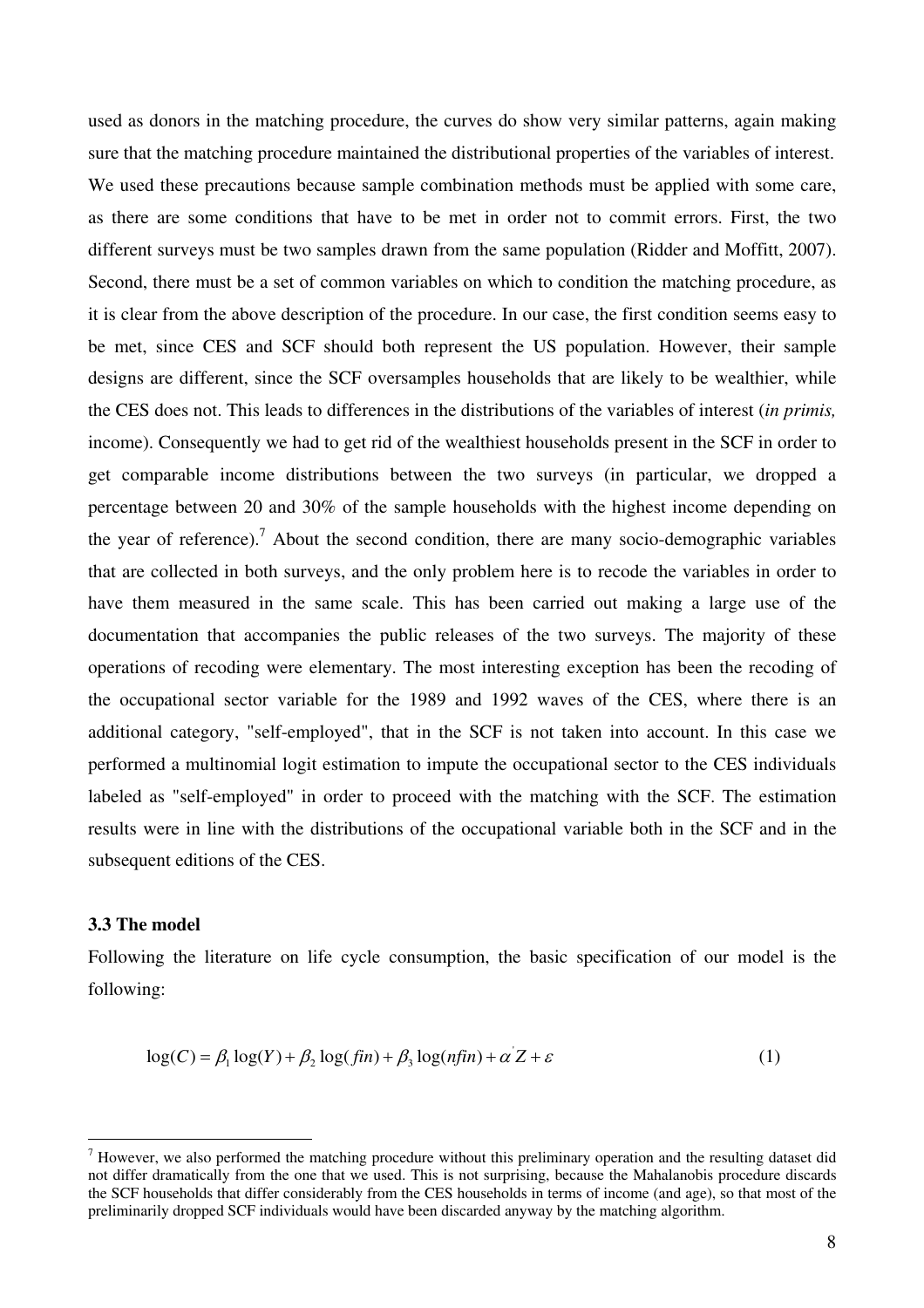used as donors in the matching procedure, the curves do show very similar patterns, again making sure that the matching procedure maintained the distributional properties of the variables of interest. We used these precautions because sample combination methods must be applied with some care, as there are some conditions that have to be met in order not to commit errors. First, the two different surveys must be two samples drawn from the same population (Ridder and Moffitt, 2007). Second, there must be a set of common variables on which to condition the matching procedure, as it is clear from the above description of the procedure. In our case, the first condition seems easy to be met, since CES and SCF should both represent the US population. However, their sample designs are different, since the SCF oversamples households that are likely to be wealthier, while the CES does not. This leads to differences in the distributions of the variables of interest (*in primis,* income). Consequently we had to get rid of the wealthiest households present in the SCF in order to get comparable income distributions between the two surveys (in particular, we dropped a percentage between 20 and 30% of the sample households with the highest income depending on the year of reference).<sup>7</sup> About the second condition, there are many socio-demographic variables that are collected in both surveys, and the only problem here is to recode the variables in order to have them measured in the same scale. This has been carried out making a large use of the documentation that accompanies the public releases of the two surveys. The majority of these operations of recoding were elementary. The most interesting exception has been the recoding of the occupational sector variable for the 1989 and 1992 waves of the CES, where there is an additional category, "self-employed", that in the SCF is not taken into account. In this case we performed a multinomial logit estimation to impute the occupational sector to the CES individuals labeled as "self-employed" in order to proceed with the matching with the SCF. The estimation results were in line with the distributions of the occupational variable both in the SCF and in the subsequent editions of the CES.

#### **3.3 The model**

Following the literature on life cycle consumption, the basic specification of our model is the following:

$$
\log(C) = \beta_1 \log(Y) + \beta_2 \log(fin) + \beta_3 \log(nfin) + \alpha' Z + \varepsilon \tag{1}
$$

<sup>&</sup>lt;sup>7</sup> However, we also performed the matching procedure without this preliminary operation and the resulting dataset did not differ dramatically from the one that we used. This is not surprising, because the Mahalanobis procedure discards the SCF households that differ considerably from the CES households in terms of income (and age), so that most of the preliminarily dropped SCF individuals would have been discarded anyway by the matching algorithm.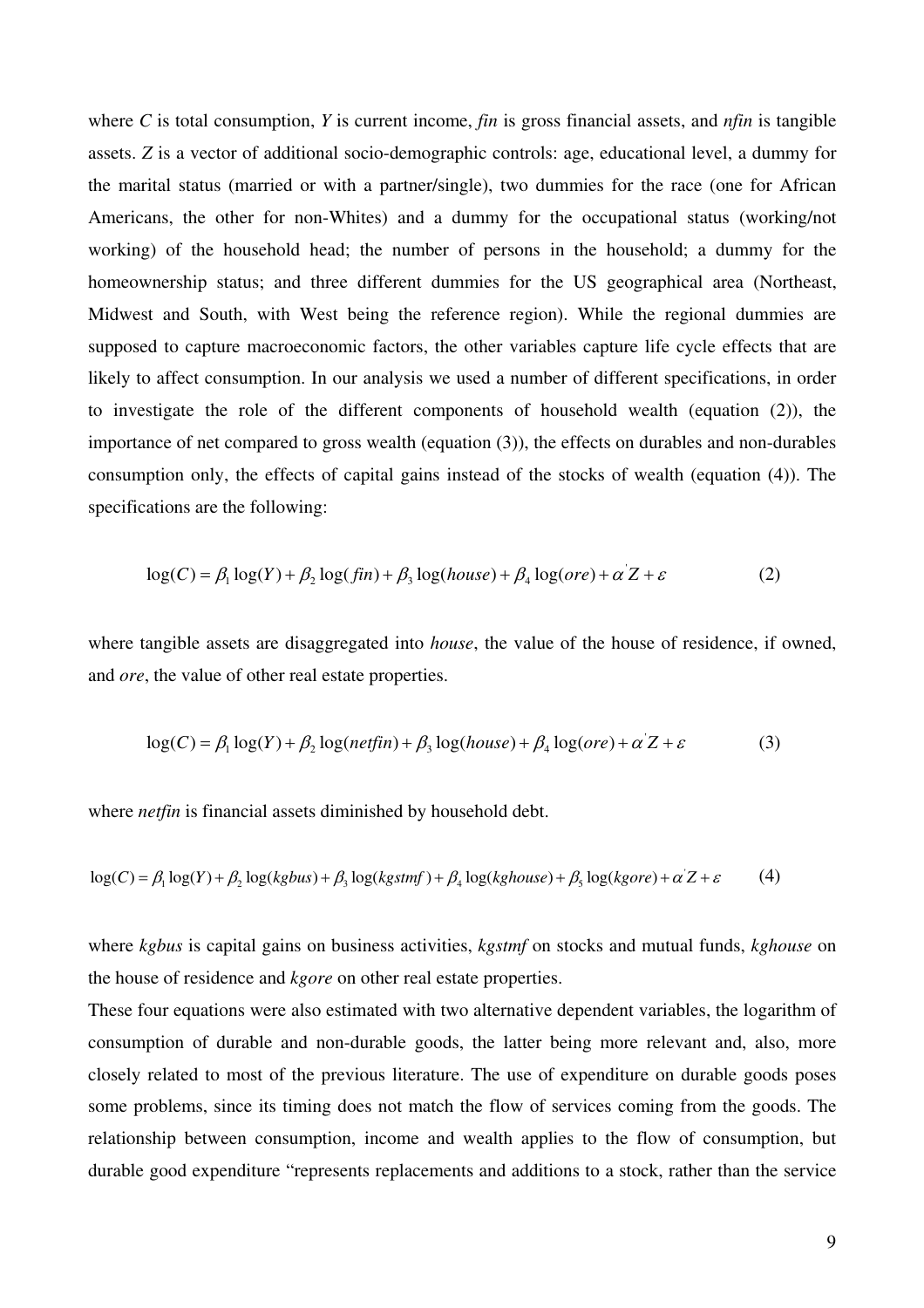where *C* is total consumption, *Y* is current income, *fin* is gross financial assets, and *nfin* is tangible assets. *Z* is a vector of additional socio-demographic controls: age, educational level, a dummy for the marital status (married or with a partner/single), two dummies for the race (one for African Americans, the other for non-Whites) and a dummy for the occupational status (working/not working) of the household head; the number of persons in the household; a dummy for the homeownership status; and three different dummies for the US geographical area (Northeast, Midwest and South, with West being the reference region). While the regional dummies are supposed to capture macroeconomic factors, the other variables capture life cycle effects that are likely to affect consumption. In our analysis we used a number of different specifications, in order to investigate the role of the different components of household wealth (equation (2)), the importance of net compared to gross wealth (equation (3)), the effects on durables and non-durables consumption only, the effects of capital gains instead of the stocks of wealth (equation (4)). The specifications are the following:

$$
log(C) = \beta_1 log(Y) + \beta_2 log(fin) + \beta_3 log(house) + \beta_4 log(ore) + \alpha' Z + \varepsilon
$$
 (2)

where tangible assets are disaggregated into *house*, the value of the house of residence, if owned, and *ore*, the value of other real estate properties.

$$
log(C) = \beta_1 log(Y) + \beta_2 log(netfin) + \beta_3 log(house) + \beta_4 log(ore) + \alpha Z + \varepsilon
$$
 (3)

where *netfin* is financial assets diminished by household debt.

$$
\log(C) = \beta_1 \log(Y) + \beta_2 \log(kgbus) + \beta_3 \log(kgstmf) + \beta_4 \log(kghouse) + \beta_5 \log(kgore) + \alpha' Z + \varepsilon
$$
 (4)

where *kgbus* is capital gains on business activities, *kgstmf* on stocks and mutual funds, *kghouse* on the house of residence and *kgore* on other real estate properties.

These four equations were also estimated with two alternative dependent variables, the logarithm of consumption of durable and non-durable goods, the latter being more relevant and, also, more closely related to most of the previous literature. The use of expenditure on durable goods poses some problems, since its timing does not match the flow of services coming from the goods. The relationship between consumption, income and wealth applies to the flow of consumption, but durable good expenditure "represents replacements and additions to a stock, rather than the service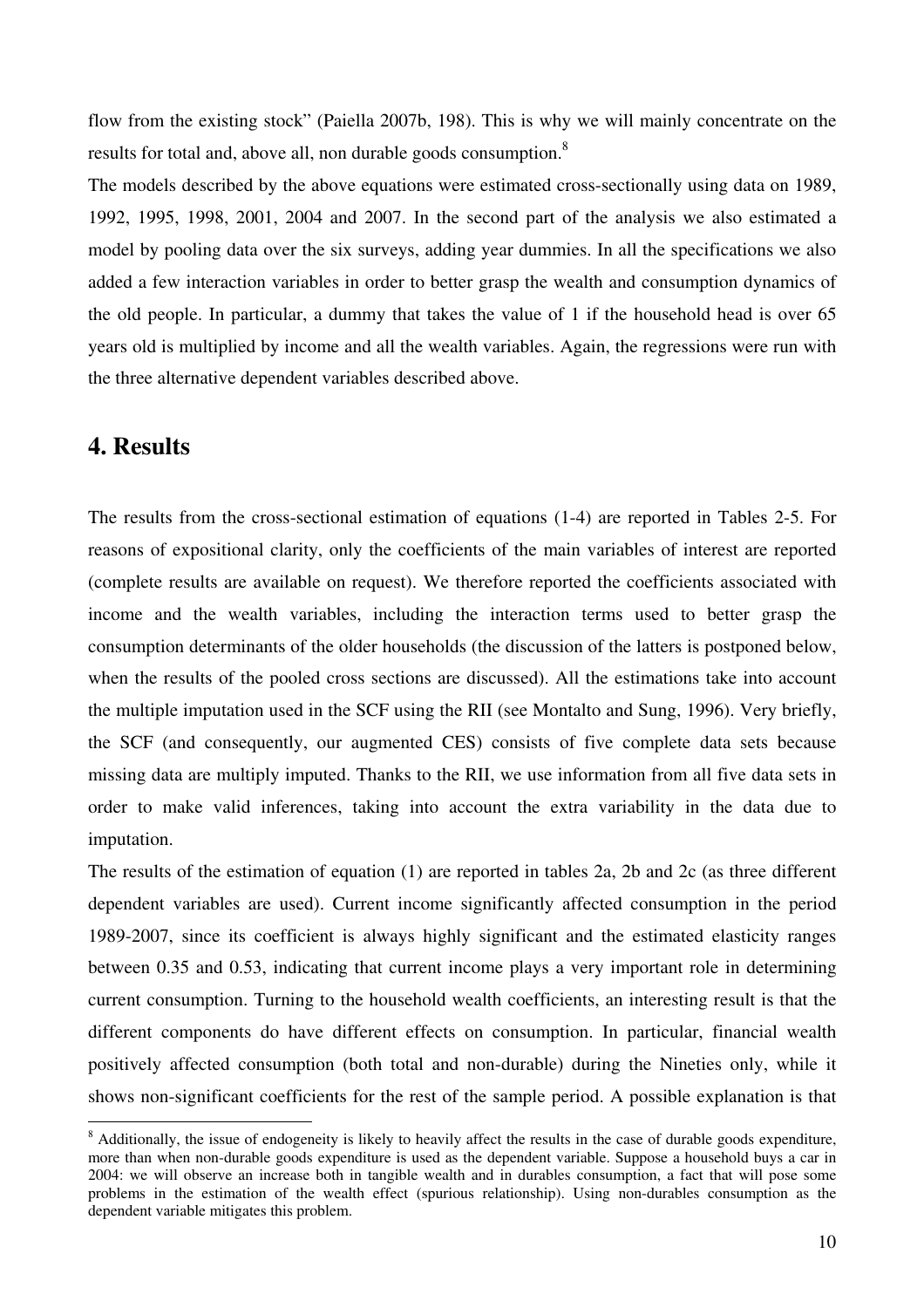flow from the existing stock" (Paiella 2007b, 198). This is why we will mainly concentrate on the results for total and, above all, non durable goods consumption.<sup>8</sup>

The models described by the above equations were estimated cross-sectionally using data on 1989, 1992, 1995, 1998, 2001, 2004 and 2007. In the second part of the analysis we also estimated a model by pooling data over the six surveys, adding year dummies. In all the specifications we also added a few interaction variables in order to better grasp the wealth and consumption dynamics of the old people. In particular, a dummy that takes the value of 1 if the household head is over 65 years old is multiplied by income and all the wealth variables. Again, the regressions were run with the three alternative dependent variables described above.

## **4. Results**

The results from the cross-sectional estimation of equations (1-4) are reported in Tables 2-5. For reasons of expositional clarity, only the coefficients of the main variables of interest are reported (complete results are available on request). We therefore reported the coefficients associated with income and the wealth variables, including the interaction terms used to better grasp the consumption determinants of the older households (the discussion of the latters is postponed below, when the results of the pooled cross sections are discussed). All the estimations take into account the multiple imputation used in the SCF using the RII (see Montalto and Sung, 1996). Very briefly, the SCF (and consequently, our augmented CES) consists of five complete data sets because missing data are multiply imputed. Thanks to the RII, we use information from all five data sets in order to make valid inferences, taking into account the extra variability in the data due to imputation.

The results of the estimation of equation (1) are reported in tables 2a, 2b and 2c (as three different dependent variables are used). Current income significantly affected consumption in the period 1989-2007, since its coefficient is always highly significant and the estimated elasticity ranges between 0.35 and 0.53, indicating that current income plays a very important role in determining current consumption. Turning to the household wealth coefficients, an interesting result is that the different components do have different effects on consumption. In particular, financial wealth positively affected consumption (both total and non-durable) during the Nineties only, while it shows non-significant coefficients for the rest of the sample period. A possible explanation is that

<sup>&</sup>lt;sup>8</sup> Additionally, the issue of endogeneity is likely to heavily affect the results in the case of durable goods expenditure, more than when non-durable goods expenditure is used as the dependent variable. Suppose a household buys a car in 2004: we will observe an increase both in tangible wealth and in durables consumption, a fact that will pose some problems in the estimation of the wealth effect (spurious relationship). Using non-durables consumption as the dependent variable mitigates this problem.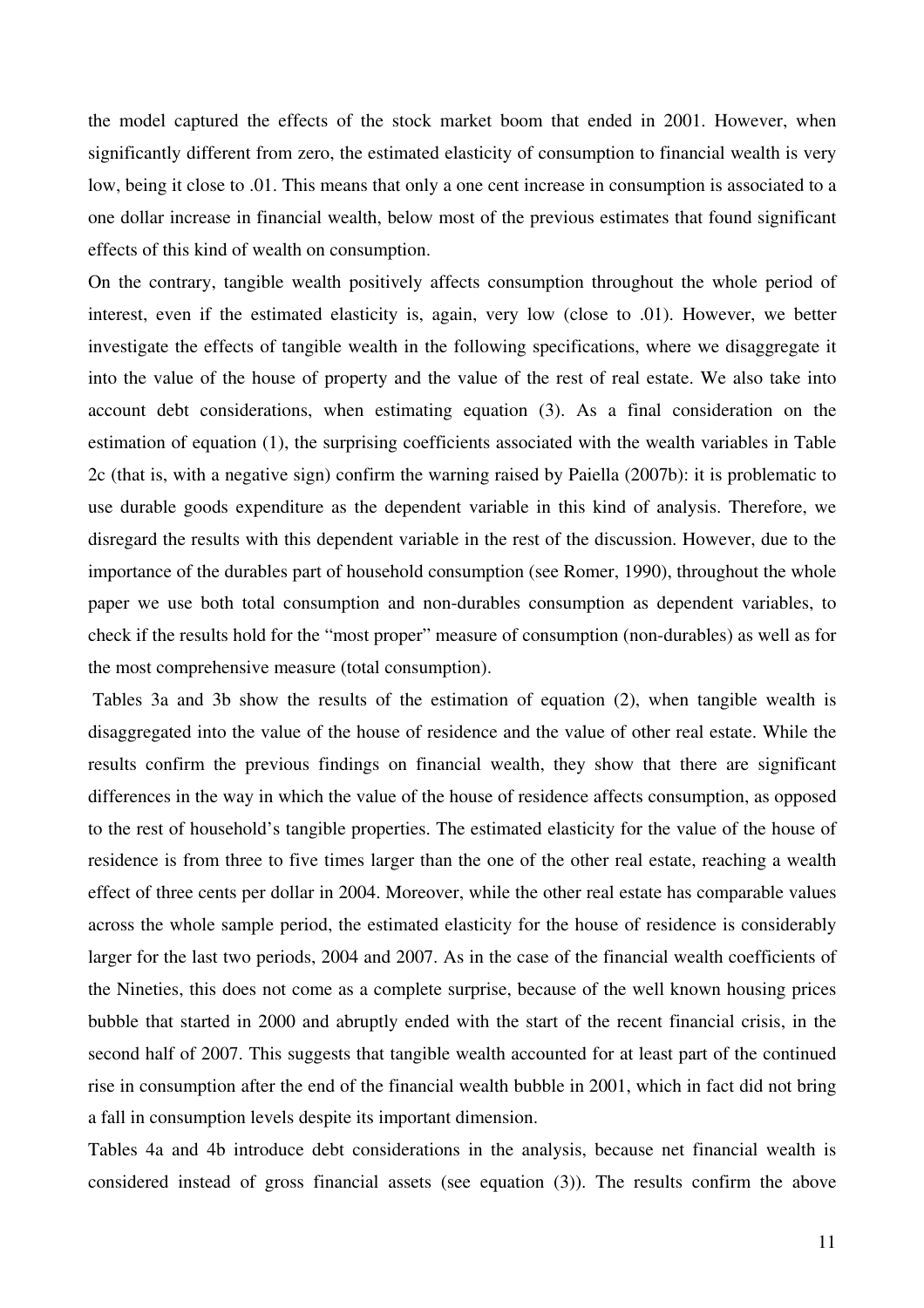the model captured the effects of the stock market boom that ended in 2001. However, when significantly different from zero, the estimated elasticity of consumption to financial wealth is very low, being it close to .01. This means that only a one cent increase in consumption is associated to a one dollar increase in financial wealth, below most of the previous estimates that found significant effects of this kind of wealth on consumption.

On the contrary, tangible wealth positively affects consumption throughout the whole period of interest, even if the estimated elasticity is, again, very low (close to .01). However, we better investigate the effects of tangible wealth in the following specifications, where we disaggregate it into the value of the house of property and the value of the rest of real estate. We also take into account debt considerations, when estimating equation (3). As a final consideration on the estimation of equation (1), the surprising coefficients associated with the wealth variables in Table 2c (that is, with a negative sign) confirm the warning raised by Paiella (2007b): it is problematic to use durable goods expenditure as the dependent variable in this kind of analysis. Therefore, we disregard the results with this dependent variable in the rest of the discussion. However, due to the importance of the durables part of household consumption (see Romer, 1990), throughout the whole paper we use both total consumption and non-durables consumption as dependent variables, to check if the results hold for the "most proper" measure of consumption (non-durables) as well as for the most comprehensive measure (total consumption).

 Tables 3a and 3b show the results of the estimation of equation (2), when tangible wealth is disaggregated into the value of the house of residence and the value of other real estate. While the results confirm the previous findings on financial wealth, they show that there are significant differences in the way in which the value of the house of residence affects consumption, as opposed to the rest of household's tangible properties. The estimated elasticity for the value of the house of residence is from three to five times larger than the one of the other real estate, reaching a wealth effect of three cents per dollar in 2004. Moreover, while the other real estate has comparable values across the whole sample period, the estimated elasticity for the house of residence is considerably larger for the last two periods, 2004 and 2007. As in the case of the financial wealth coefficients of the Nineties, this does not come as a complete surprise, because of the well known housing prices bubble that started in 2000 and abruptly ended with the start of the recent financial crisis, in the second half of 2007. This suggests that tangible wealth accounted for at least part of the continued rise in consumption after the end of the financial wealth bubble in 2001, which in fact did not bring a fall in consumption levels despite its important dimension.

Tables 4a and 4b introduce debt considerations in the analysis, because net financial wealth is considered instead of gross financial assets (see equation (3)). The results confirm the above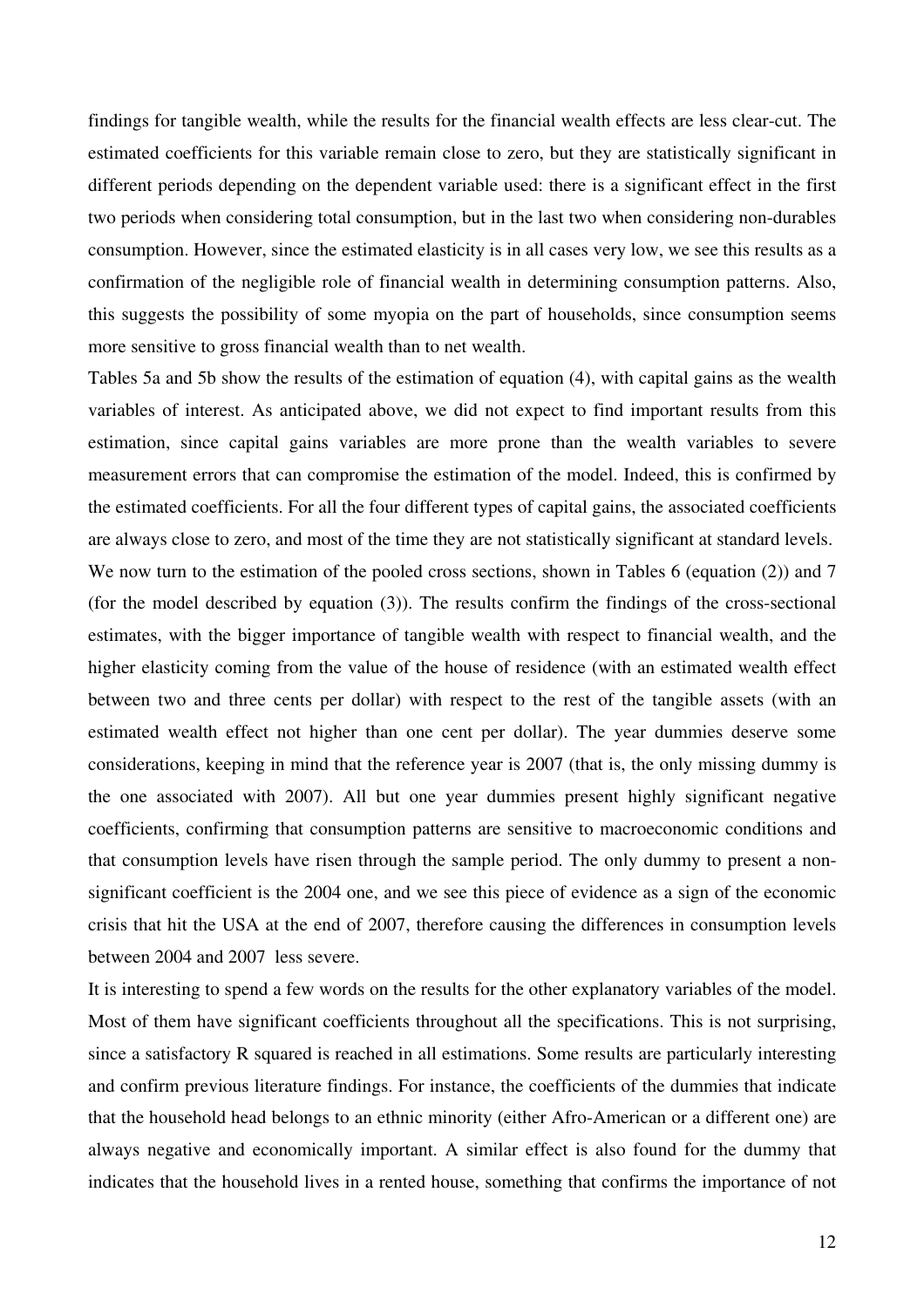findings for tangible wealth, while the results for the financial wealth effects are less clear-cut. The estimated coefficients for this variable remain close to zero, but they are statistically significant in different periods depending on the dependent variable used: there is a significant effect in the first two periods when considering total consumption, but in the last two when considering non-durables consumption. However, since the estimated elasticity is in all cases very low, we see this results as a confirmation of the negligible role of financial wealth in determining consumption patterns. Also, this suggests the possibility of some myopia on the part of households, since consumption seems more sensitive to gross financial wealth than to net wealth.

Tables 5a and 5b show the results of the estimation of equation (4), with capital gains as the wealth variables of interest. As anticipated above, we did not expect to find important results from this estimation, since capital gains variables are more prone than the wealth variables to severe measurement errors that can compromise the estimation of the model. Indeed, this is confirmed by the estimated coefficients. For all the four different types of capital gains, the associated coefficients are always close to zero, and most of the time they are not statistically significant at standard levels. We now turn to the estimation of the pooled cross sections, shown in Tables 6 (equation (2)) and 7 (for the model described by equation (3)). The results confirm the findings of the cross-sectional estimates, with the bigger importance of tangible wealth with respect to financial wealth, and the higher elasticity coming from the value of the house of residence (with an estimated wealth effect between two and three cents per dollar) with respect to the rest of the tangible assets (with an estimated wealth effect not higher than one cent per dollar). The year dummies deserve some considerations, keeping in mind that the reference year is 2007 (that is, the only missing dummy is the one associated with 2007). All but one year dummies present highly significant negative coefficients, confirming that consumption patterns are sensitive to macroeconomic conditions and that consumption levels have risen through the sample period. The only dummy to present a nonsignificant coefficient is the 2004 one, and we see this piece of evidence as a sign of the economic crisis that hit the USA at the end of 2007, therefore causing the differences in consumption levels between 2004 and 2007 less severe.

It is interesting to spend a few words on the results for the other explanatory variables of the model. Most of them have significant coefficients throughout all the specifications. This is not surprising, since a satisfactory R squared is reached in all estimations. Some results are particularly interesting and confirm previous literature findings. For instance, the coefficients of the dummies that indicate that the household head belongs to an ethnic minority (either Afro-American or a different one) are always negative and economically important. A similar effect is also found for the dummy that indicates that the household lives in a rented house, something that confirms the importance of not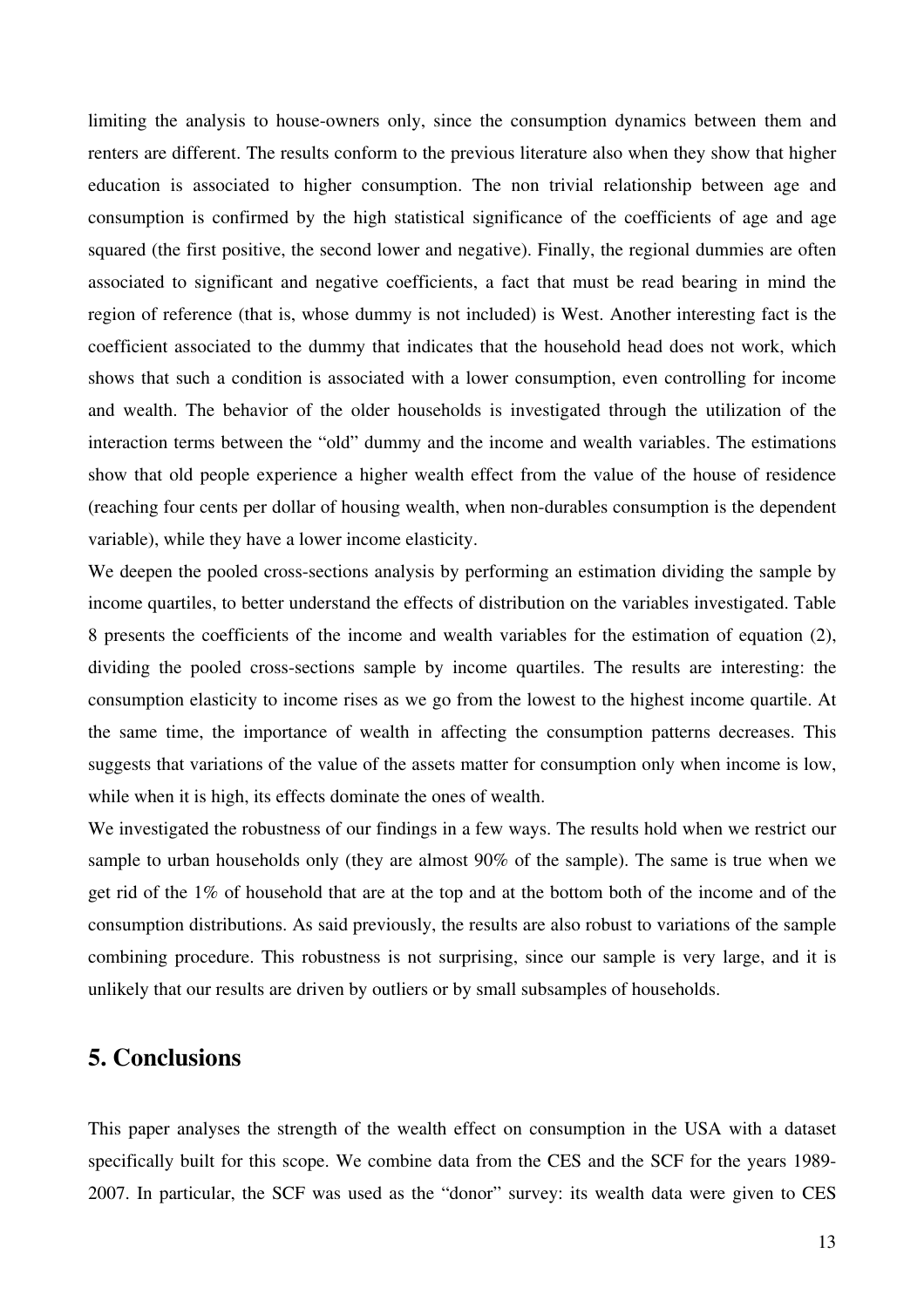limiting the analysis to house-owners only, since the consumption dynamics between them and renters are different. The results conform to the previous literature also when they show that higher education is associated to higher consumption. The non trivial relationship between age and consumption is confirmed by the high statistical significance of the coefficients of age and age squared (the first positive, the second lower and negative). Finally, the regional dummies are often associated to significant and negative coefficients, a fact that must be read bearing in mind the region of reference (that is, whose dummy is not included) is West. Another interesting fact is the coefficient associated to the dummy that indicates that the household head does not work, which shows that such a condition is associated with a lower consumption, even controlling for income and wealth. The behavior of the older households is investigated through the utilization of the interaction terms between the "old" dummy and the income and wealth variables. The estimations show that old people experience a higher wealth effect from the value of the house of residence (reaching four cents per dollar of housing wealth, when non-durables consumption is the dependent variable), while they have a lower income elasticity.

We deepen the pooled cross-sections analysis by performing an estimation dividing the sample by income quartiles, to better understand the effects of distribution on the variables investigated. Table 8 presents the coefficients of the income and wealth variables for the estimation of equation (2), dividing the pooled cross-sections sample by income quartiles. The results are interesting: the consumption elasticity to income rises as we go from the lowest to the highest income quartile. At the same time, the importance of wealth in affecting the consumption patterns decreases. This suggests that variations of the value of the assets matter for consumption only when income is low, while when it is high, its effects dominate the ones of wealth.

We investigated the robustness of our findings in a few ways. The results hold when we restrict our sample to urban households only (they are almost 90% of the sample). The same is true when we get rid of the 1% of household that are at the top and at the bottom both of the income and of the consumption distributions. As said previously, the results are also robust to variations of the sample combining procedure. This robustness is not surprising, since our sample is very large, and it is unlikely that our results are driven by outliers or by small subsamples of households.

# **5. Conclusions**

This paper analyses the strength of the wealth effect on consumption in the USA with a dataset specifically built for this scope. We combine data from the CES and the SCF for the years 1989- 2007. In particular, the SCF was used as the "donor" survey: its wealth data were given to CES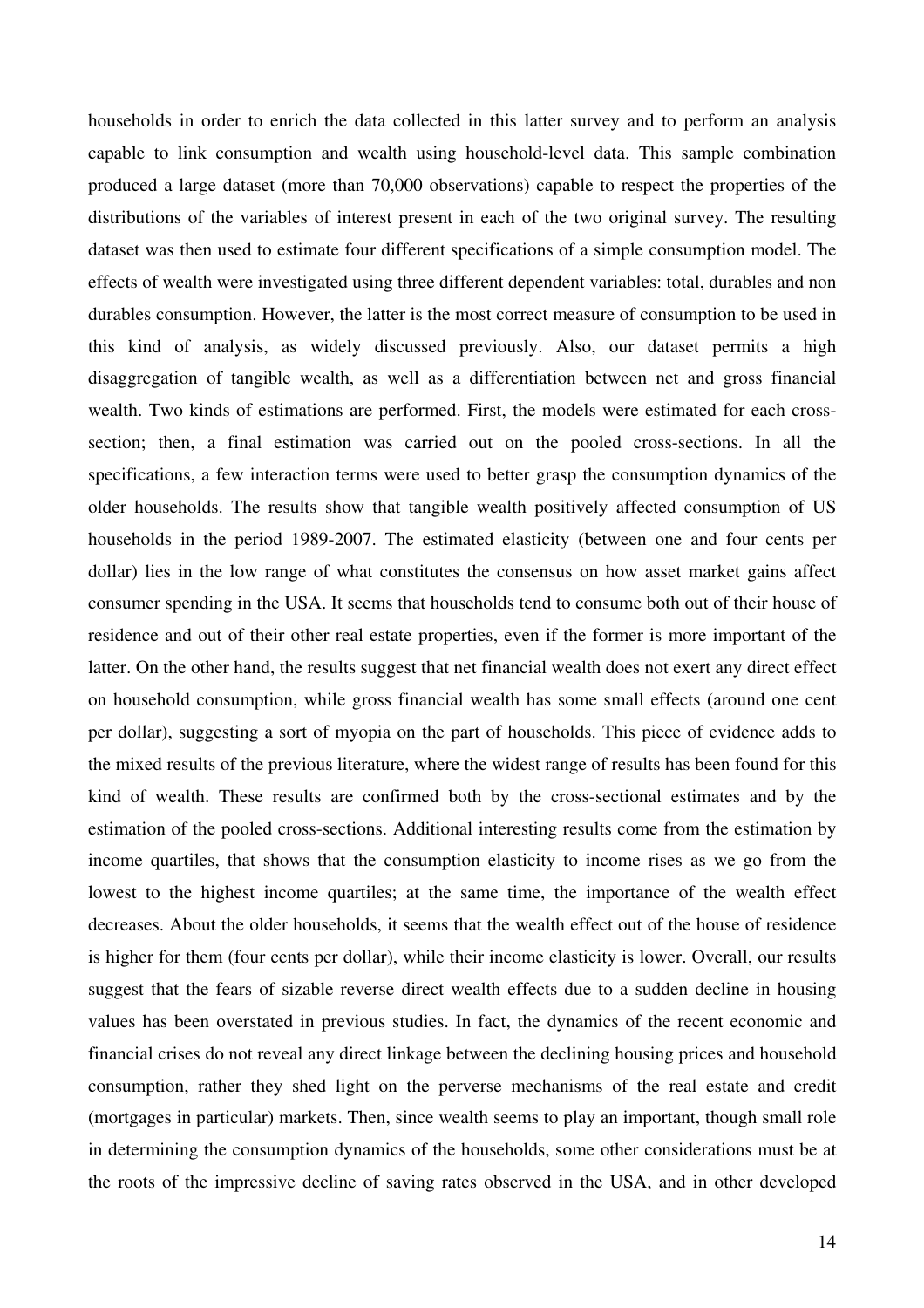households in order to enrich the data collected in this latter survey and to perform an analysis capable to link consumption and wealth using household-level data. This sample combination produced a large dataset (more than 70,000 observations) capable to respect the properties of the distributions of the variables of interest present in each of the two original survey. The resulting dataset was then used to estimate four different specifications of a simple consumption model. The effects of wealth were investigated using three different dependent variables: total, durables and non durables consumption. However, the latter is the most correct measure of consumption to be used in this kind of analysis, as widely discussed previously. Also, our dataset permits a high disaggregation of tangible wealth, as well as a differentiation between net and gross financial wealth. Two kinds of estimations are performed. First, the models were estimated for each crosssection; then, a final estimation was carried out on the pooled cross-sections. In all the specifications, a few interaction terms were used to better grasp the consumption dynamics of the older households. The results show that tangible wealth positively affected consumption of US households in the period 1989-2007. The estimated elasticity (between one and four cents per dollar) lies in the low range of what constitutes the consensus on how asset market gains affect consumer spending in the USA. It seems that households tend to consume both out of their house of residence and out of their other real estate properties, even if the former is more important of the latter. On the other hand, the results suggest that net financial wealth does not exert any direct effect on household consumption, while gross financial wealth has some small effects (around one cent per dollar), suggesting a sort of myopia on the part of households. This piece of evidence adds to the mixed results of the previous literature, where the widest range of results has been found for this kind of wealth. These results are confirmed both by the cross-sectional estimates and by the estimation of the pooled cross-sections. Additional interesting results come from the estimation by income quartiles, that shows that the consumption elasticity to income rises as we go from the lowest to the highest income quartiles; at the same time, the importance of the wealth effect decreases. About the older households, it seems that the wealth effect out of the house of residence is higher for them (four cents per dollar), while their income elasticity is lower. Overall, our results suggest that the fears of sizable reverse direct wealth effects due to a sudden decline in housing values has been overstated in previous studies. In fact, the dynamics of the recent economic and financial crises do not reveal any direct linkage between the declining housing prices and household consumption, rather they shed light on the perverse mechanisms of the real estate and credit (mortgages in particular) markets. Then, since wealth seems to play an important, though small role in determining the consumption dynamics of the households, some other considerations must be at the roots of the impressive decline of saving rates observed in the USA, and in other developed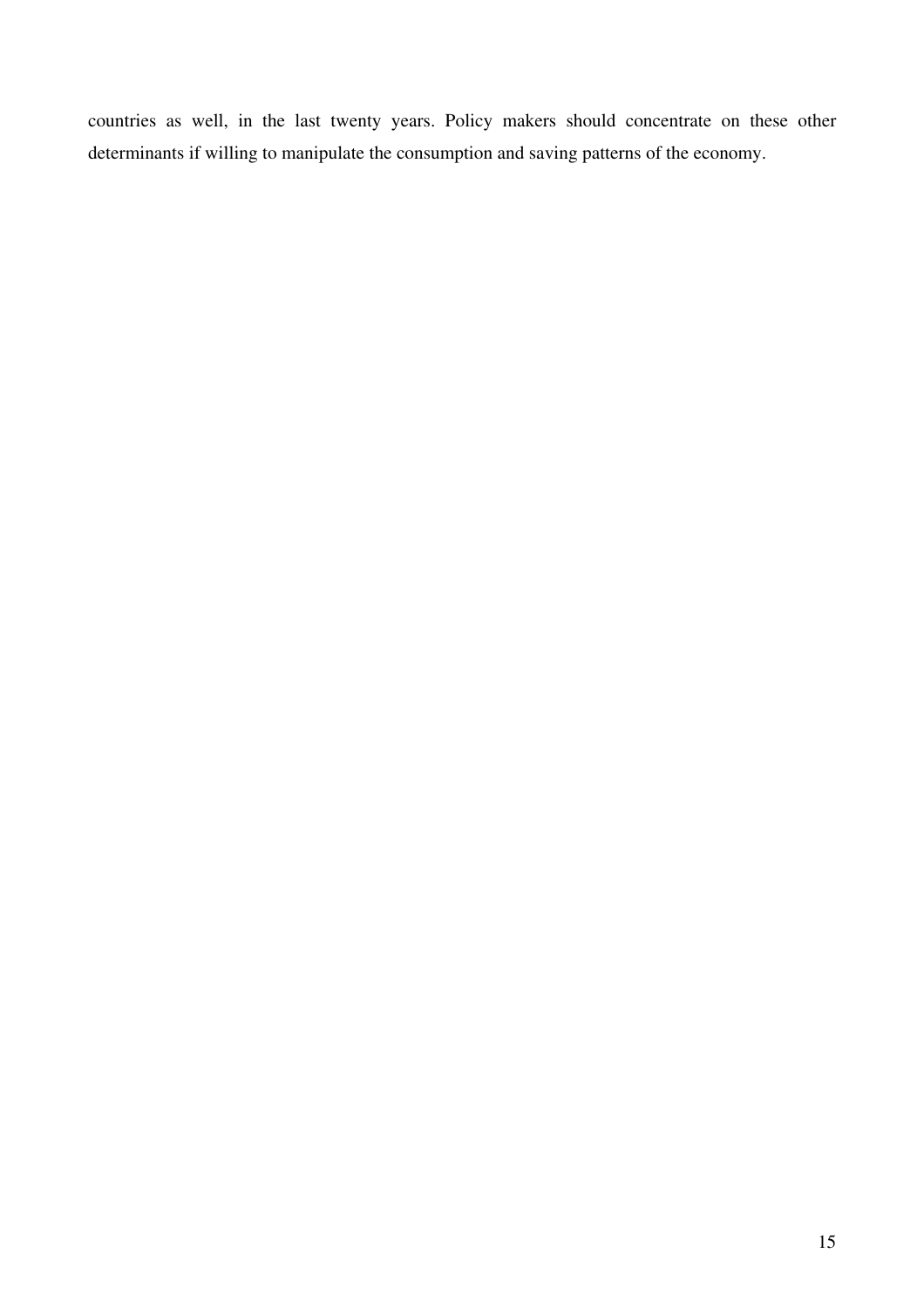countries as well, in the last twenty years. Policy makers should concentrate on these other determinants if willing to manipulate the consumption and saving patterns of the economy.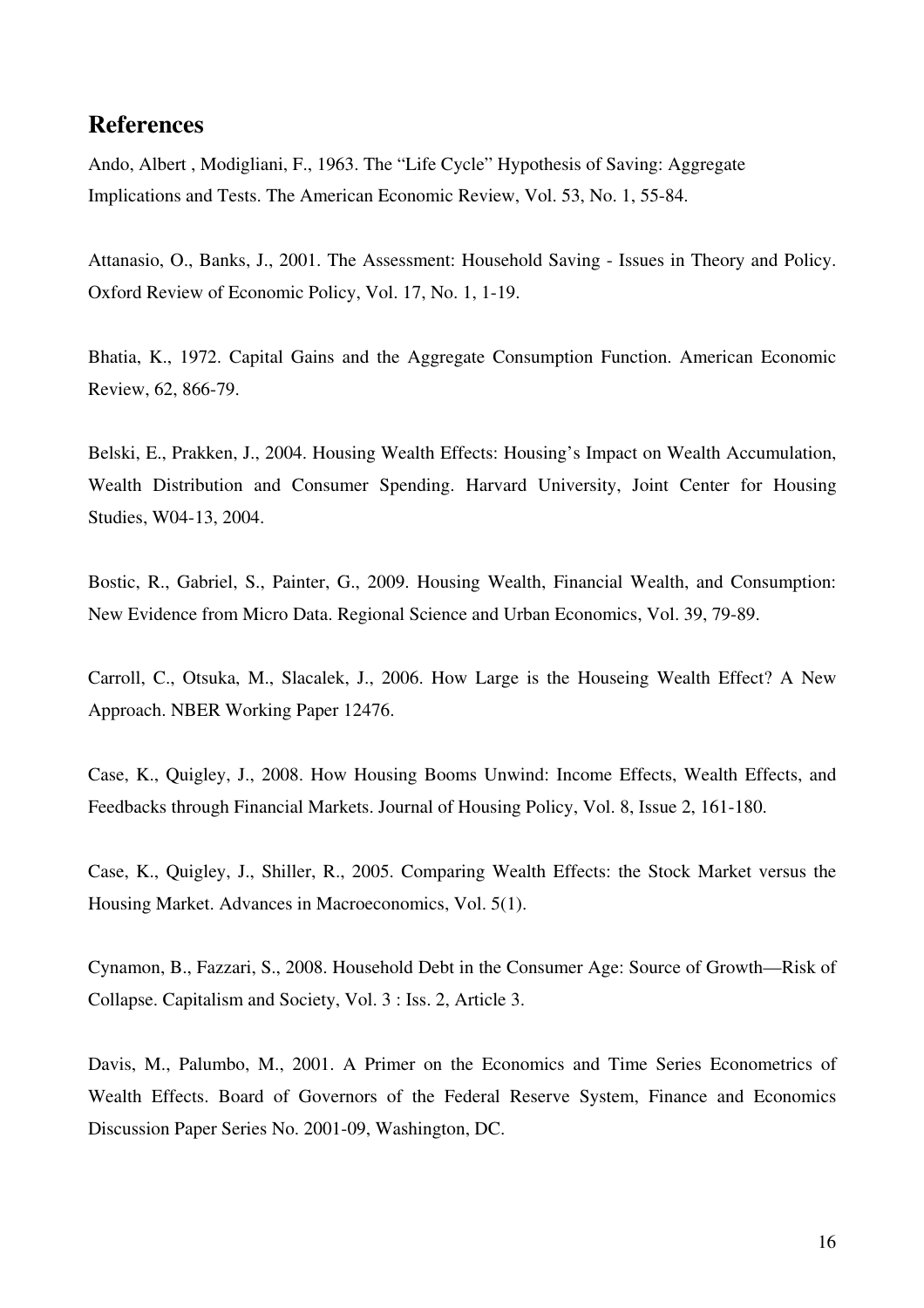### **References**

Ando, Albert , Modigliani, F., 1963. The "Life Cycle" Hypothesis of Saving: Aggregate Implications and Tests. The American Economic Review, Vol. 53, No. 1, 55-84.

Attanasio, O., Banks, J., 2001. The Assessment: Household Saving - Issues in Theory and Policy. Oxford Review of Economic Policy, Vol. 17, No. 1, 1-19.

Bhatia, K., 1972. Capital Gains and the Aggregate Consumption Function. American Economic Review, 62, 866-79.

Belski, E., Prakken, J., 2004. Housing Wealth Effects: Housing's Impact on Wealth Accumulation, Wealth Distribution and Consumer Spending. Harvard University, Joint Center for Housing Studies, W04-13, 2004.

Bostic, R., Gabriel, S., Painter, G., 2009. Housing Wealth, Financial Wealth, and Consumption: New Evidence from Micro Data. Regional Science and Urban Economics, Vol. 39, 79-89.

Carroll, C., Otsuka, M., Slacalek, J., 2006. How Large is the Houseing Wealth Effect? A New Approach. NBER Working Paper 12476.

Case, K., Quigley, J., 2008. How Housing Booms Unwind: Income Effects, Wealth Effects, and Feedbacks through Financial Markets. Journal of Housing Policy, Vol. 8, Issue 2, 161-180.

Case, K., Quigley, J., Shiller, R., 2005. Comparing Wealth Effects: the Stock Market versus the Housing Market. Advances in Macroeconomics, Vol. 5(1).

Cynamon, B., Fazzari, S., 2008. Household Debt in the Consumer Age: Source of Growth—Risk of Collapse. Capitalism and Society, Vol. 3 : Iss. 2, Article 3.

Davis, M., Palumbo, M., 2001. A Primer on the Economics and Time Series Econometrics of Wealth Effects. Board of Governors of the Federal Reserve System, Finance and Economics Discussion Paper Series No. 2001-09, Washington, DC.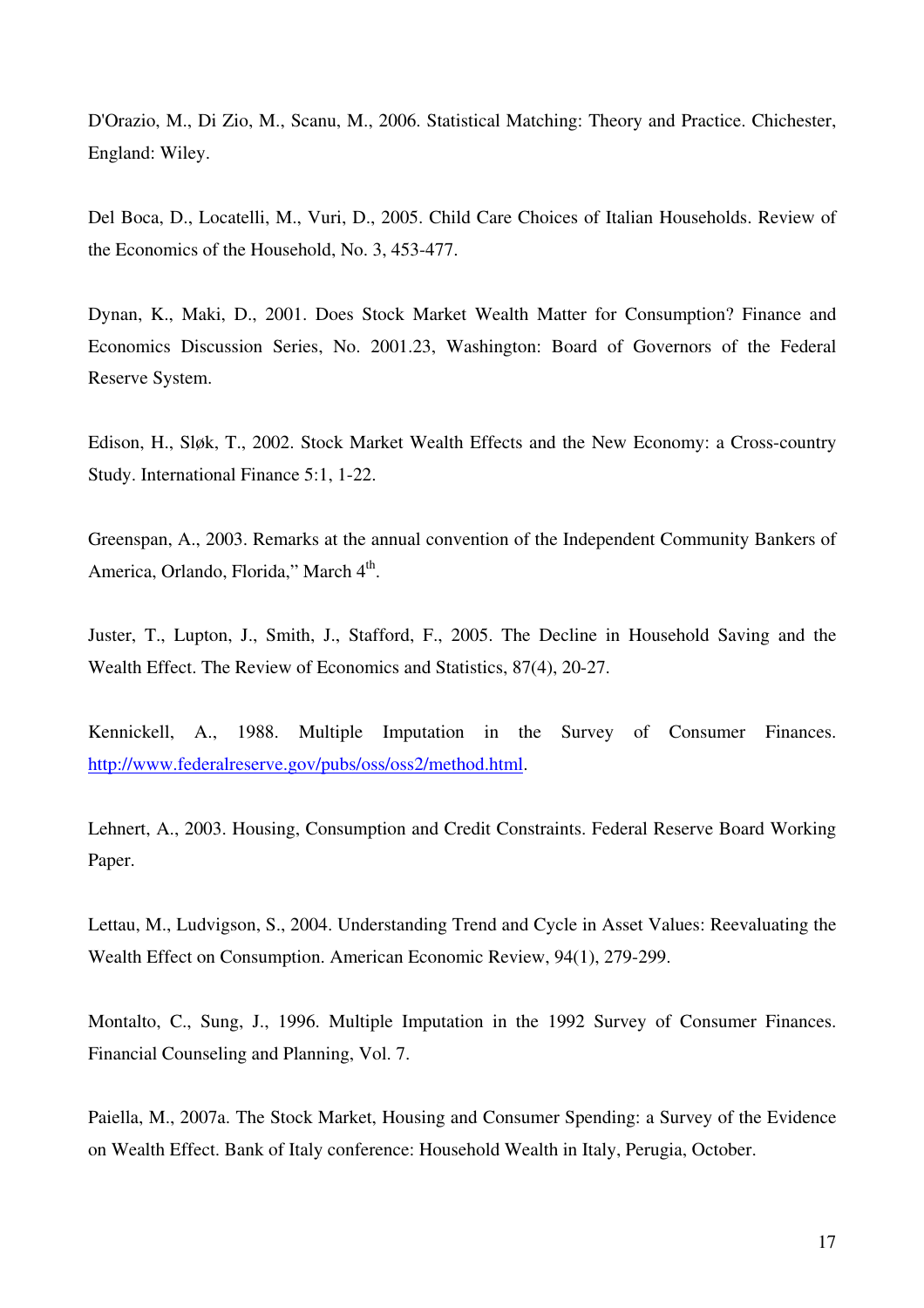D'Orazio, M., Di Zio, M., Scanu, M., 2006. Statistical Matching: Theory and Practice. Chichester, England: Wiley.

Del Boca, D., Locatelli, M., Vuri, D., 2005. Child Care Choices of Italian Households. Review of the Economics of the Household, No. 3, 453-477.

Dynan, K., Maki, D., 2001. Does Stock Market Wealth Matter for Consumption? Finance and Economics Discussion Series, No. 2001.23, Washington: Board of Governors of the Federal Reserve System.

Edison, H., Sløk, T., 2002. Stock Market Wealth Effects and the New Economy: a Cross-country Study. International Finance 5:1, 1-22.

Greenspan, A., 2003. Remarks at the annual convention of the Independent Community Bankers of America, Orlando, Florida," March 4<sup>th</sup>.

Juster, T., Lupton, J., Smith, J., Stafford, F., 2005. The Decline in Household Saving and the Wealth Effect. The Review of Economics and Statistics, 87(4), 20-27.

Kennickell, A., 1988. Multiple Imputation in the Survey of Consumer Finances. http://www.federalreserve.gov/pubs/oss/oss2/method.html.

Lehnert, A., 2003. Housing, Consumption and Credit Constraints. Federal Reserve Board Working Paper.

Lettau, M., Ludvigson, S., 2004. Understanding Trend and Cycle in Asset Values: Reevaluating the Wealth Effect on Consumption. American Economic Review, 94(1), 279-299.

Montalto, C., Sung, J., 1996. Multiple Imputation in the 1992 Survey of Consumer Finances. Financial Counseling and Planning, Vol. 7.

Paiella, M., 2007a. The Stock Market, Housing and Consumer Spending: a Survey of the Evidence on Wealth Effect. Bank of Italy conference: Household Wealth in Italy, Perugia, October.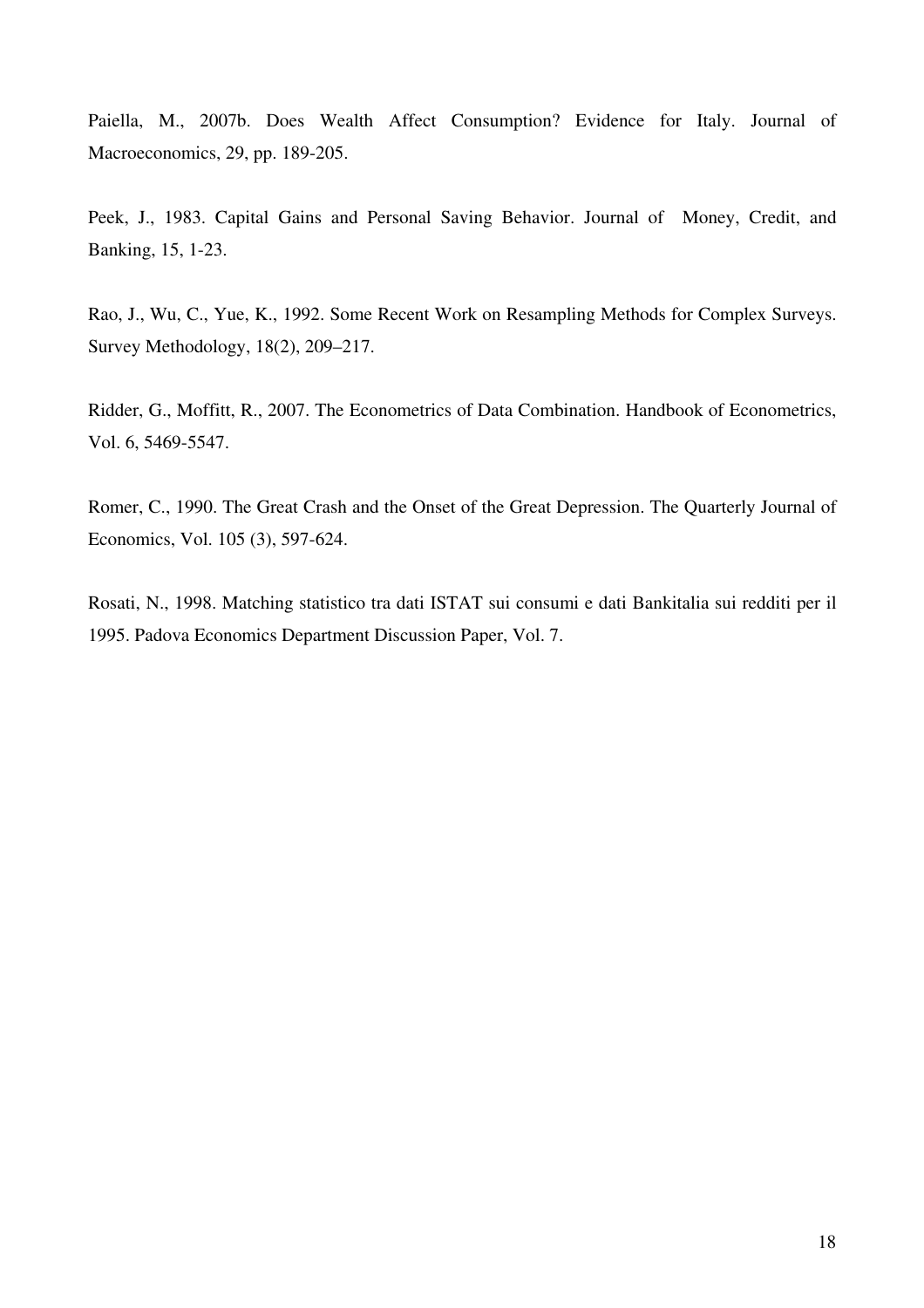Paiella, M., 2007b. Does Wealth Affect Consumption? Evidence for Italy. Journal of Macroeconomics, 29, pp. 189-205.

Peek, J., 1983. Capital Gains and Personal Saving Behavior. Journal of Money, Credit, and Banking, 15, 1-23.

Rao, J., Wu, C., Yue, K., 1992. Some Recent Work on Resampling Methods for Complex Surveys. Survey Methodology, 18(2), 209–217.

Ridder, G., Moffitt, R., 2007. The Econometrics of Data Combination. Handbook of Econometrics, Vol. 6, 5469-5547.

Romer, C., 1990. The Great Crash and the Onset of the Great Depression. The Quarterly Journal of Economics, Vol. 105 (3), 597-624.

Rosati, N., 1998. Matching statistico tra dati ISTAT sui consumi e dati Bankitalia sui redditi per il 1995. Padova Economics Department Discussion Paper, Vol. 7.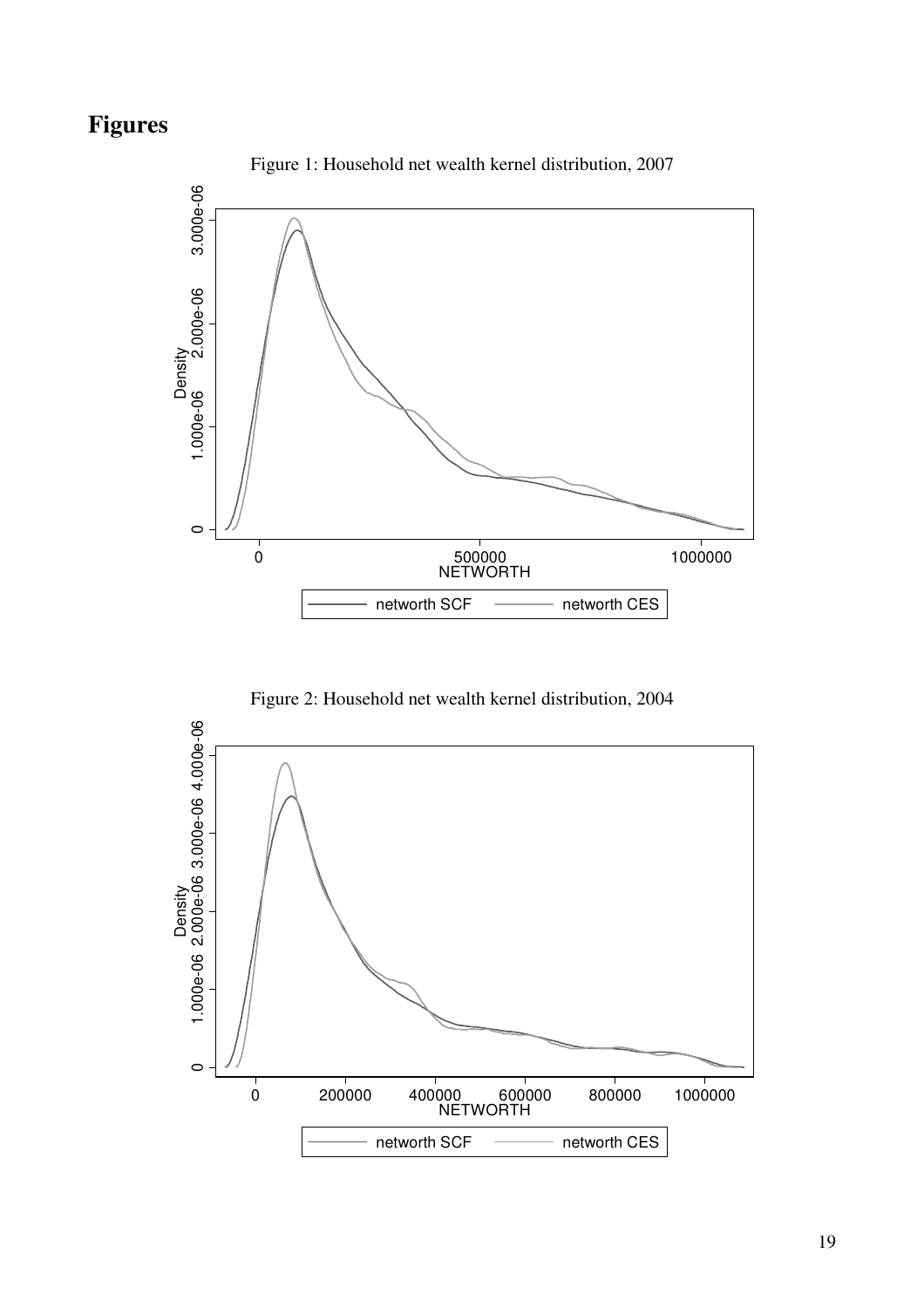# **Figures**



Figure 1: Household net wealth kernel distribution, 2007

Figure 2: Household net wealth kernel distribution, 2004

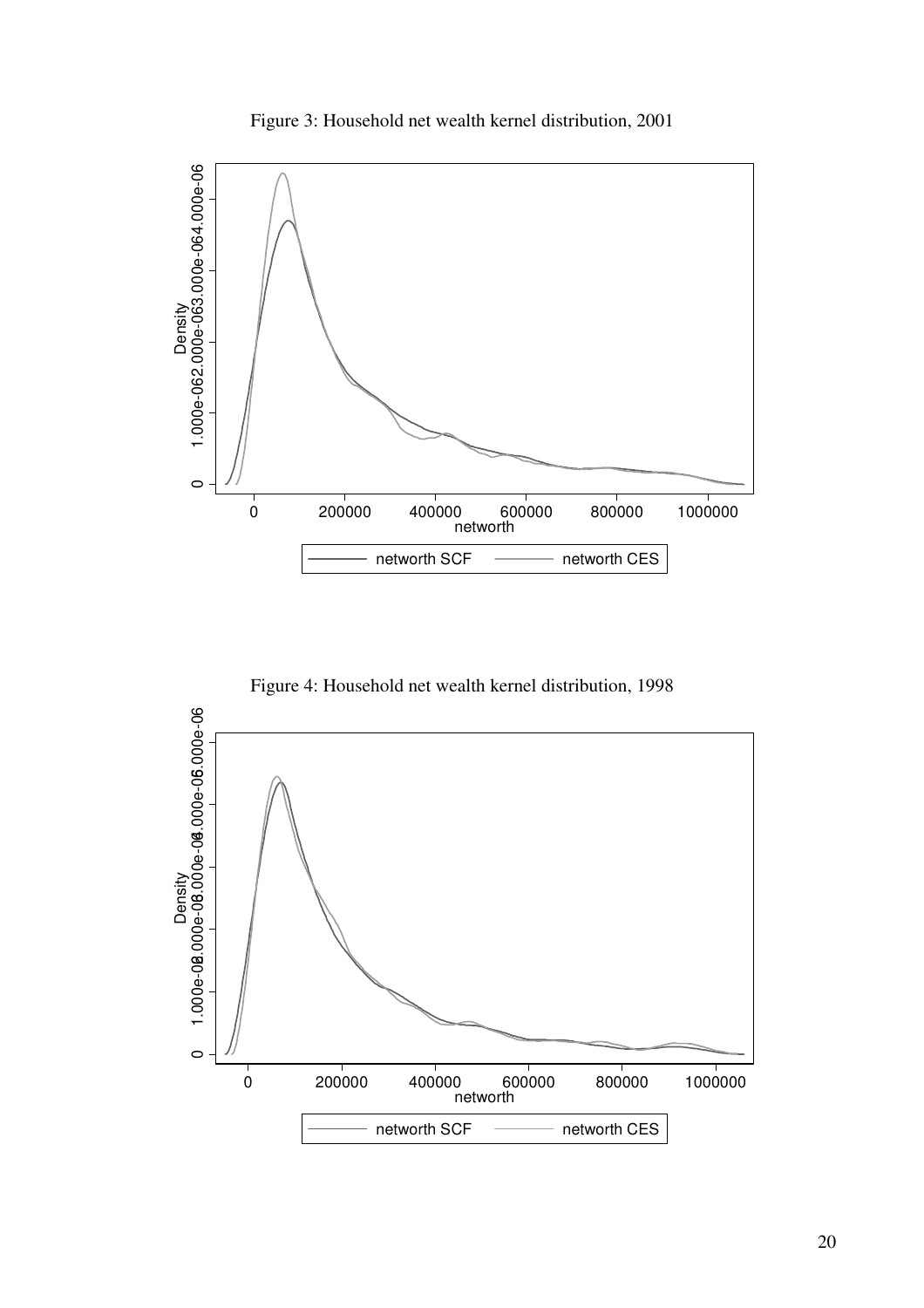Figure 3: Household net wealth kernel distribution, 2001



Figure 4: Household net wealth kernel distribution, 1998

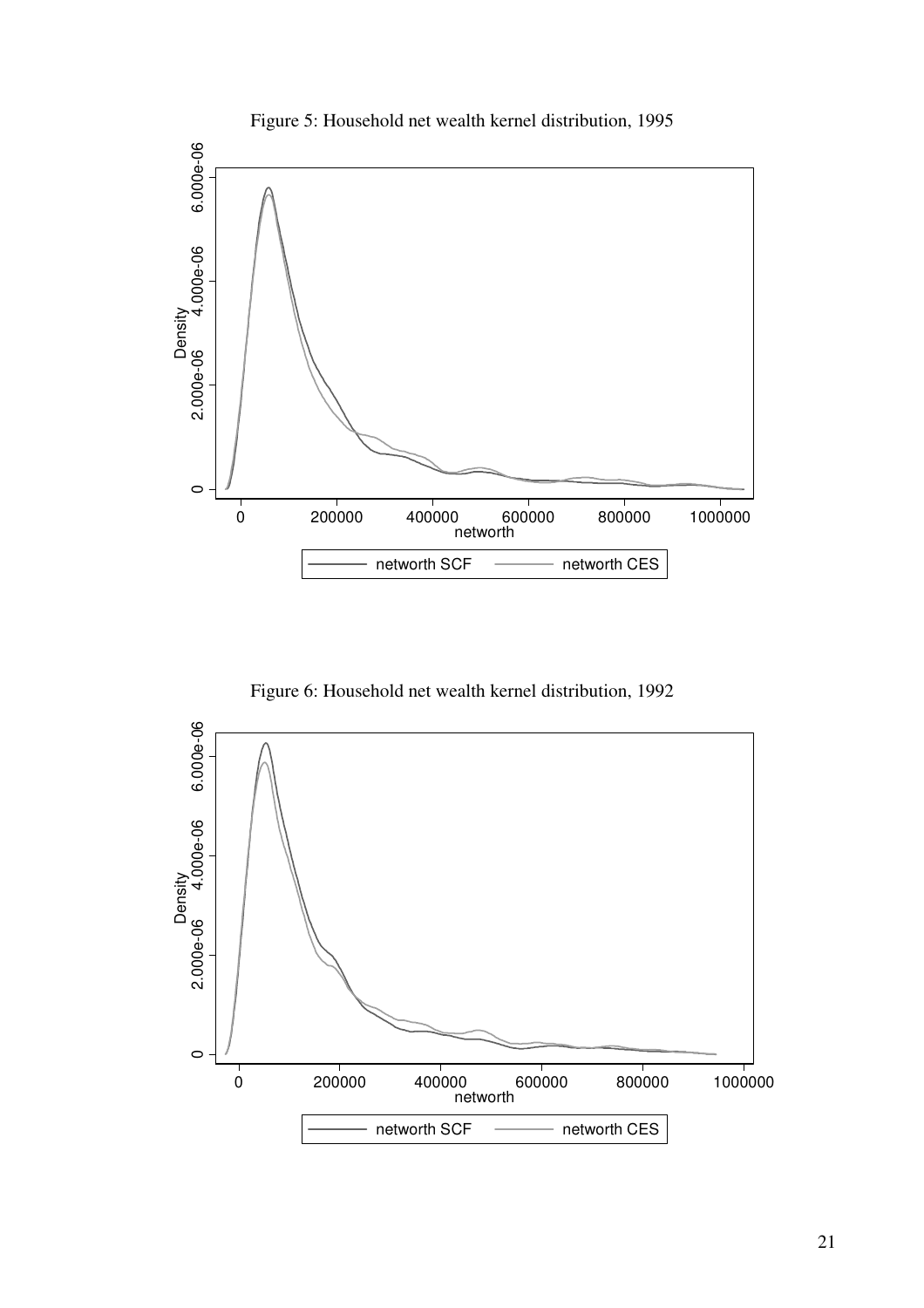

Figure 5: Household net wealth kernel distribution, 1995

Figure 6: Household net wealth kernel distribution, 1992

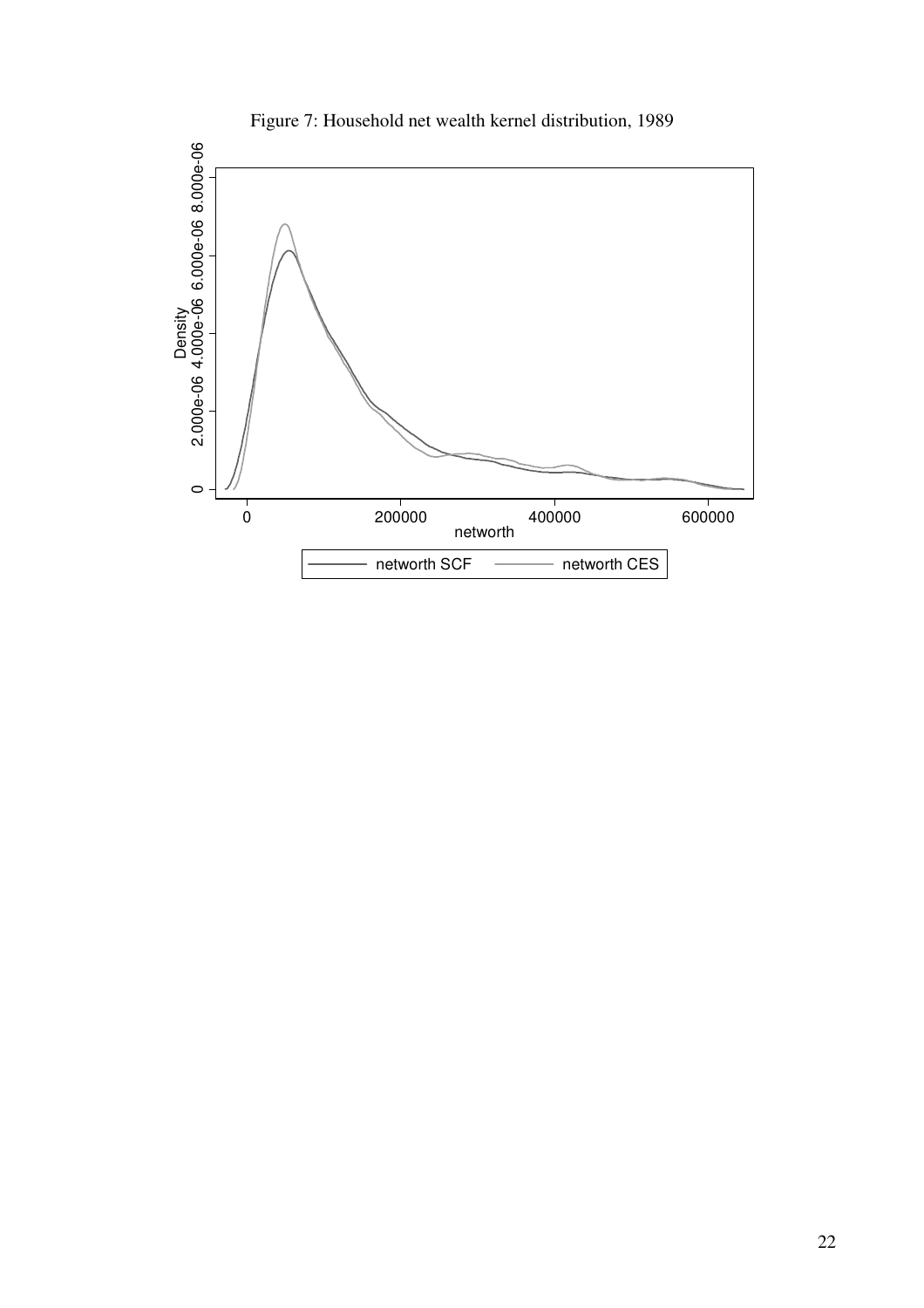

Figure 7: Household net wealth kernel distribution, 1989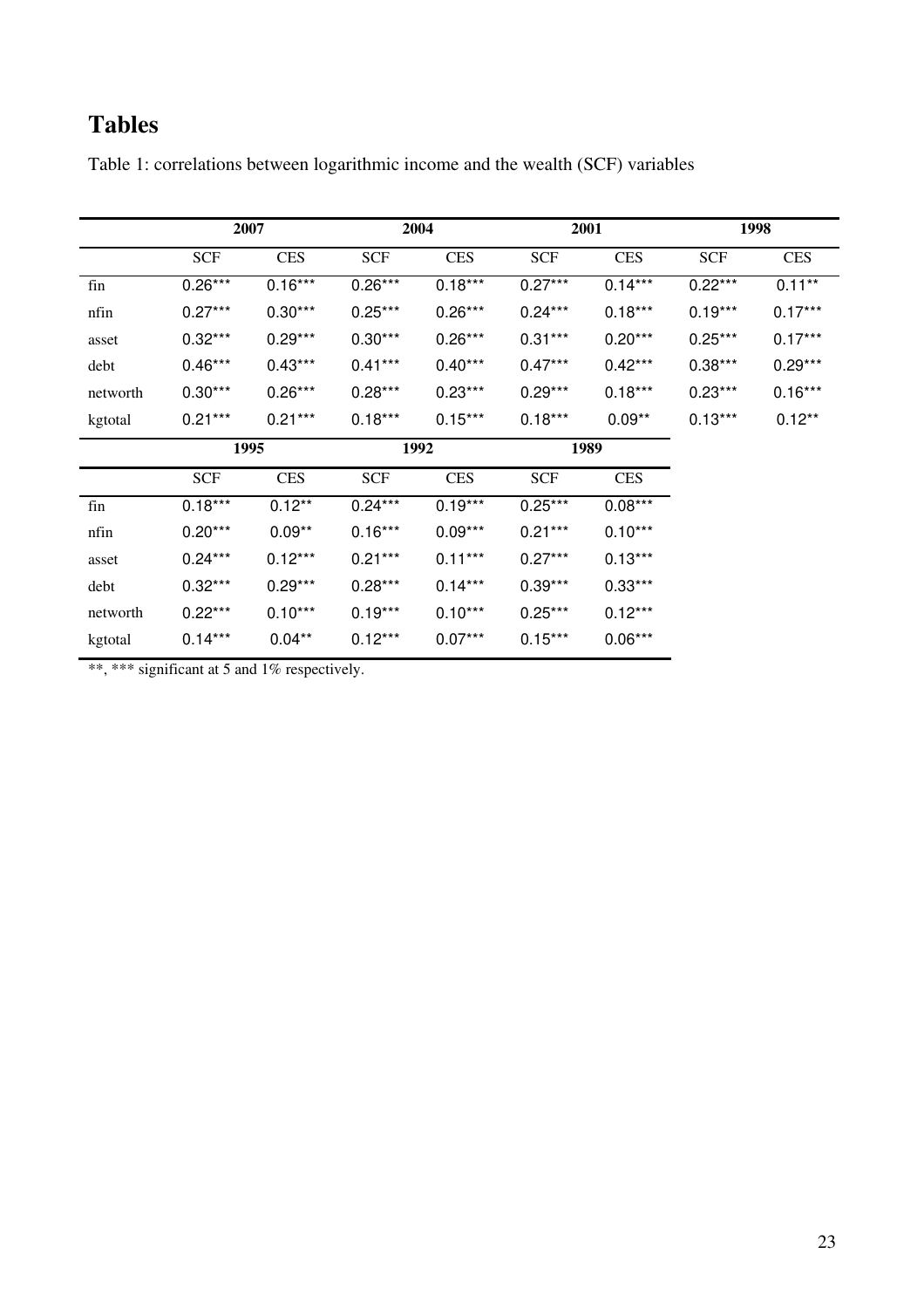# **Tables**

|          |            | 2007       |            | 2004       |            | 2001       |            | 1998       |
|----------|------------|------------|------------|------------|------------|------------|------------|------------|
|          | <b>SCF</b> | <b>CES</b> | <b>SCF</b> | <b>CES</b> | <b>SCF</b> | <b>CES</b> | <b>SCF</b> | <b>CES</b> |
| fin      | $0.26***$  | $0.16***$  | $0.26***$  | $0.18***$  | $0.27***$  | $0.14***$  | $0.22***$  | $0.11***$  |
| nfin     | $0.27***$  | $0.30***$  | $0.25***$  | $0.26***$  | $0.24***$  | $0.18***$  | $0.19***$  | $0.17***$  |
| asset    | $0.32***$  | $0.29***$  | $0.30***$  | $0.26***$  | $0.31***$  | $0.20***$  | $0.25***$  | $0.17***$  |
| debt     | $0.46***$  | $0.43***$  | $0.41***$  | $0.40***$  | $0.47***$  | $0.42***$  | $0.38***$  | $0.29***$  |
| networth | $0.30***$  | $0.26***$  | $0.28***$  | $0.23***$  | $0.29***$  | $0.18***$  | $0.23***$  | $0.16***$  |
| kgtotal  | $0.21***$  | $0.21***$  | $0.18***$  | $0.15***$  | $0.18***$  | $0.09**$   | $0.13***$  | $0.12***$  |
|          |            | 1995       | 1992       |            | 1989       |            |            |            |
|          | <b>SCF</b> | <b>CES</b> | <b>SCF</b> | <b>CES</b> | <b>SCF</b> | <b>CES</b> |            |            |
| fin      | $0.18***$  | $0.12***$  | $0.24***$  | $0.19***$  | $0.25***$  | $0.08***$  |            |            |
| nfin     | $0.20***$  | $0.09**$   | $0.16***$  | $0.09***$  | $0.21***$  | $0.10***$  |            |            |
| asset    | $0.24***$  | $0.12***$  | $0.21***$  | $0.11***$  | $0.27***$  | $0.13***$  |            |            |
| debt     | $0.32***$  | $0.29***$  | $0.28***$  | $0.14***$  | $0.39***$  | $0.33***$  |            |            |
| networth | $0.22***$  | $0.10***$  | $0.19***$  | $0.10***$  | $0.25***$  | $0.12***$  |            |            |
| kgtotal  | $0.14***$  | $0.04**$   | $0.12***$  | $0.07***$  | $0.15***$  | $0.06***$  |            |            |

Table 1: correlations between logarithmic income and the wealth (SCF) variables

\*\*, \*\*\* significant at 5 and 1% respectively.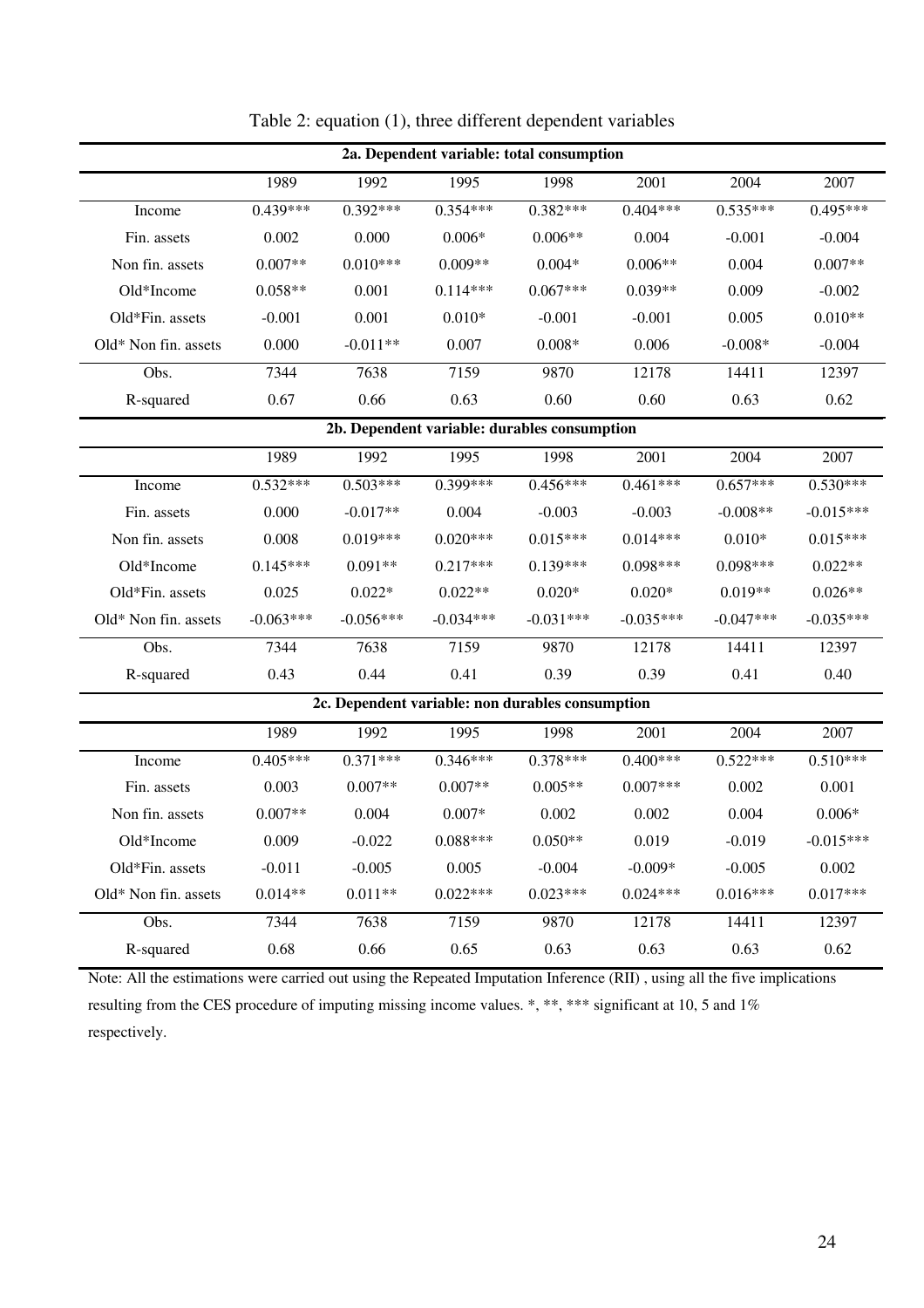| 2a. Dependent variable: total consumption |             |             |             |                                                  |             |             |             |
|-------------------------------------------|-------------|-------------|-------------|--------------------------------------------------|-------------|-------------|-------------|
|                                           | 1989        | 1992        | 1995        | 1998                                             | 2001        | 2004        | 2007        |
| Income                                    | $0.439***$  | $0.392***$  | $0.354***$  | $0.382***$                                       | $0.404***$  | $0.535***$  | $0.495***$  |
| Fin. assets                               | 0.002       | 0.000       | $0.006*$    | $0.006**$                                        | 0.004       | $-0.001$    | $-0.004$    |
| Non fin. assets                           | $0.007**$   | $0.010***$  | $0.009**$   | $0.004*$                                         | $0.006**$   | 0.004       | $0.007**$   |
| Old*Income                                | $0.058**$   | 0.001       | $0.114***$  | $0.067***$                                       | $0.039**$   | 0.009       | $-0.002$    |
| Old*Fin. assets                           | $-0.001$    | 0.001       | $0.010*$    | $-0.001$                                         | $-0.001$    | 0.005       | $0.010**$   |
| Old* Non fin. assets                      | 0.000       | $-0.011**$  | 0.007       | $0.008*$                                         | 0.006       | $-0.008*$   | $-0.004$    |
| Obs.                                      | 7344        | 7638        | 7159        | 9870                                             | 12178       | 14411       | 12397       |
| R-squared                                 | 0.67        | 0.66        | 0.63        | 0.60                                             | 0.60        | 0.63        | 0.62        |
|                                           |             |             |             | 2b. Dependent variable: durables consumption     |             |             |             |
|                                           | 1989        | 1992        | 1995        | 1998                                             | 2001        | 2004        | 2007        |
| Income                                    | $0.532***$  | $0.503***$  | $0.399***$  | $0.456***$                                       | $0.461***$  | $0.657***$  | $0.530***$  |
| Fin. assets                               | 0.000       | $-0.017**$  | 0.004       | $-0.003$                                         | $-0.003$    | $-0.008**$  | $-0.015***$ |
| Non fin. assets                           | 0.008       | $0.019***$  | $0.020***$  | $0.015***$                                       | $0.014***$  | $0.010*$    | $0.015***$  |
| Old*Income                                | $0.145***$  | $0.091**$   | $0.217***$  | $0.139***$                                       | $0.098***$  | $0.098***$  | $0.022**$   |
| Old*Fin. assets                           | 0.025       | $0.022*$    | $0.022**$   | $0.020*$                                         | $0.020*$    | $0.019**$   | $0.026**$   |
| Old* Non fin. assets                      | $-0.063***$ | $-0.056***$ | $-0.034***$ | $-0.031***$                                      | $-0.035***$ | $-0.047***$ | $-0.035***$ |
| Obs.                                      | 7344        | 7638        | 7159        | 9870                                             | 12178       | 14411       | 12397       |
| R-squared                                 | 0.43        | 0.44        | 0.41        | 0.39                                             | 0.39        | 0.41        | 0.40        |
|                                           |             |             |             | 2c. Dependent variable: non durables consumption |             |             |             |
|                                           | 1989        | 1992        | 1995        | 1998                                             | 2001        | 2004        | 2007        |
| Income                                    | $0.405***$  | $0.371***$  | $0.346***$  | $0.378***$                                       | $0.400***$  | $0.522***$  | $0.510***$  |
| Fin. assets                               | 0.003       | $0.007**$   | $0.007**$   | $0.005**$                                        | $0.007***$  | 0.002       | 0.001       |
| Non fin. assets                           | $0.007**$   | 0.004       | $0.007*$    | 0.002                                            | 0.002       | 0.004       | $0.006*$    |
| Old*Income                                | 0.009       | $-0.022$    | $0.088***$  | $0.050**$                                        | 0.019       | $-0.019$    | $-0.015***$ |
| Old*Fin. assets                           | $-0.011$    | $-0.005$    | 0.005       | $-0.004$                                         | $-0.009*$   | $-0.005$    | 0.002       |
| Old* Non fin. assets                      | $0.014**$   | $0.011**$   | $0.022***$  | $0.023***$                                       | $0.024***$  | $0.016***$  | $0.017***$  |
| Obs.                                      | 7344        | 7638        | 7159        | 9870                                             | 12178       | 14411       | 12397       |
| R-squared                                 | 0.68        | 0.66        | 0.65        | 0.63                                             | 0.63        | 0.63        | 0.62        |

Table 2: equation (1), three different dependent variables

Note: All the estimations were carried out using the Repeated Imputation Inference (RII) , using all the five implications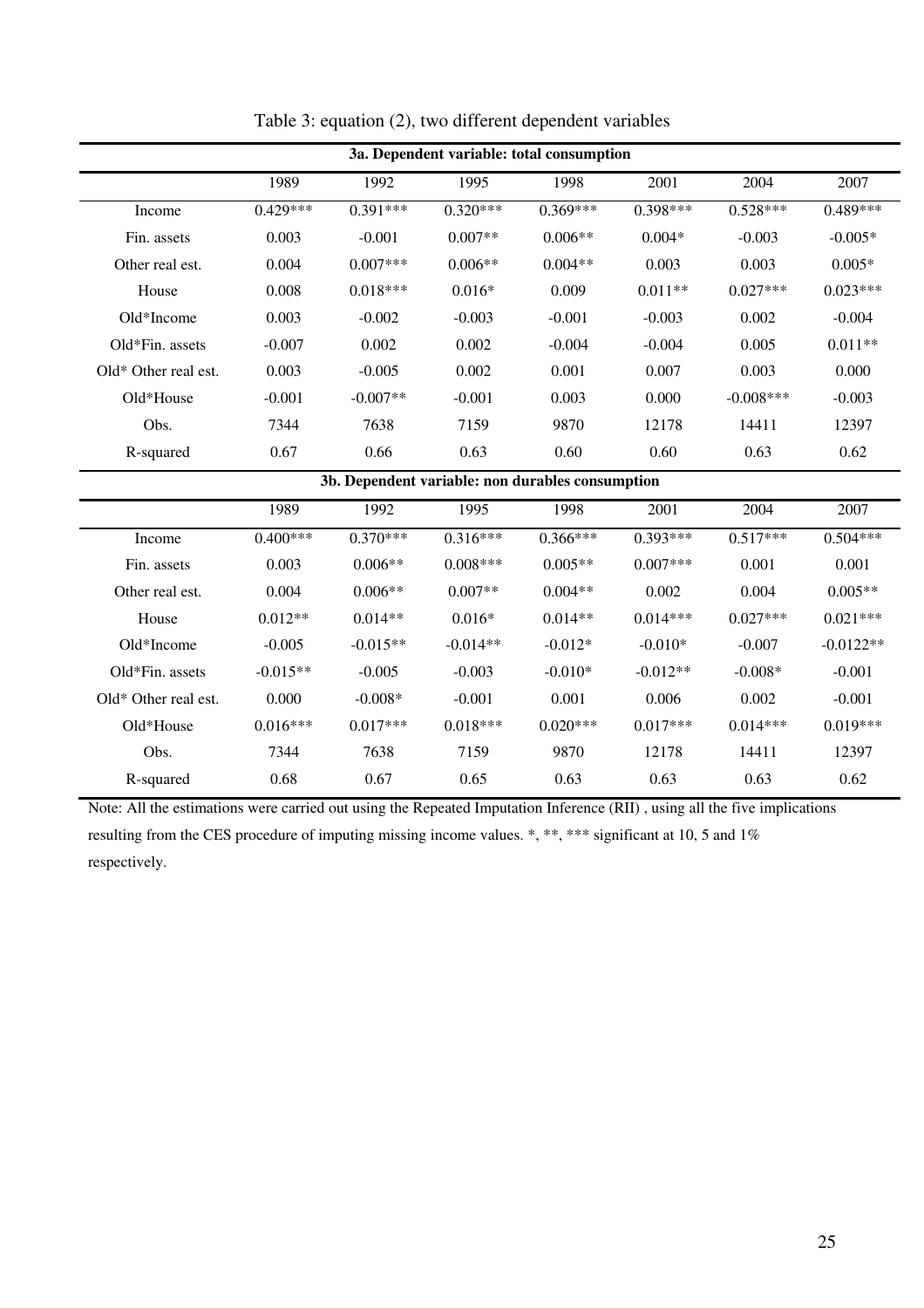| 3a. Dependent variable: total consumption |            |            |            |            |            |              |            |
|-------------------------------------------|------------|------------|------------|------------|------------|--------------|------------|
|                                           | 1989       | 1992       | 1995       | 1998       | 2001       | 2004         | 2007       |
| Income                                    | $0.429***$ | $0.391***$ | $0.320***$ | $0.369***$ | $0.398***$ | $0.528***$   | $0.489***$ |
| Fin. assets                               | 0.003      | $-0.001$   | $0.007**$  | $0.006**$  | $0.004*$   | $-0.003$     | $-0.005*$  |
| Other real est.                           | 0.004      | $0.007***$ | $0.006**$  | $0.004**$  | 0.003      | 0.003        | $0.005*$   |
| House                                     | 0.008      | $0.018***$ | $0.016*$   | 0.009      | $0.011**$  | $0.027***$   | $0.023***$ |
| $Old*Income$                              | 0.003      | $-0.002$   | $-0.003$   | $-0.001$   | $-0.003$   | 0.002        | $-0.004$   |
| Old*Fin. assets                           | $-0.007$   | 0.002      | 0.002      | $-0.004$   | $-0.004$   | 0.005        | $0.011**$  |
| $Old* Other real est.$                    | 0.003      | $-0.005$   | 0.002      | 0.001      | 0.007      | 0.003        | 0.000      |
| $Old*House$                               | $-0.001$   | $-0.007**$ | $-0.001$   | 0.003      | 0.000      | $-0.008$ *** | $-0.003$   |
| Obs.                                      | 7344       | 7638       | 7159       | 9870       | 12178      | 14411        | 12397      |
| R-squared                                 | 0.67       | 0.66       | 0.63       | 0.60       | 0.60       | 0.63         | 0.62       |

### Table 3: equation (2), two different dependent variables

**3b. Dependent variable: non durables consumption** 

|                        | 1989       | 1992       | 1995       | 1998       | 2001        | 2004       | 2007        |
|------------------------|------------|------------|------------|------------|-------------|------------|-------------|
| Income                 | $0.400***$ | $0.370***$ | $0.316***$ | $0.366***$ | $0.393***$  | $0.517***$ | $0.504***$  |
| Fin. assets            | 0.003      | $0.006**$  | $0.008***$ | $0.005**$  | $0.007$ *** | 0.001      | 0.001       |
| Other real est.        | 0.004      | $0.006**$  | $0.007**$  | $0.004**$  | 0.002       | 0.004      | $0.005**$   |
| House                  | $0.012**$  | $0.014**$  | $0.016*$   | $0.014**$  | $0.014***$  | $0.027***$ | $0.021***$  |
| $Old*Income$           | $-0.005$   | $-0.015**$ | $-0.014**$ | $-0.012*$  | $-0.010*$   | $-0.007$   | $-0.0122**$ |
| $Old*Fin.$ assets      | $-0.015**$ | $-0.005$   | $-0.003$   | $-0.010*$  | $-0.012**$  | $-0.008*$  | $-0.001$    |
| $Old* Other real est.$ | 0.000      | $-0.008*$  | $-0.001$   | 0.001      | 0.006       | 0.002      | $-0.001$    |
| $Old*$ House           | $0.016***$ | $0.017***$ | $0.018***$ | $0.020***$ | $0.017***$  | $0.014***$ | $0.019***$  |
| Obs.                   | 7344       | 7638       | 7159       | 9870       | 12178       | 14411      | 12397       |
| R-squared              | 0.68       | 0.67       | 0.65       | 0.63       | 0.63        | 0.63       | 0.62        |

Note: All the estimations were carried out using the Repeated Imputation Inference (RII) , using all the five implications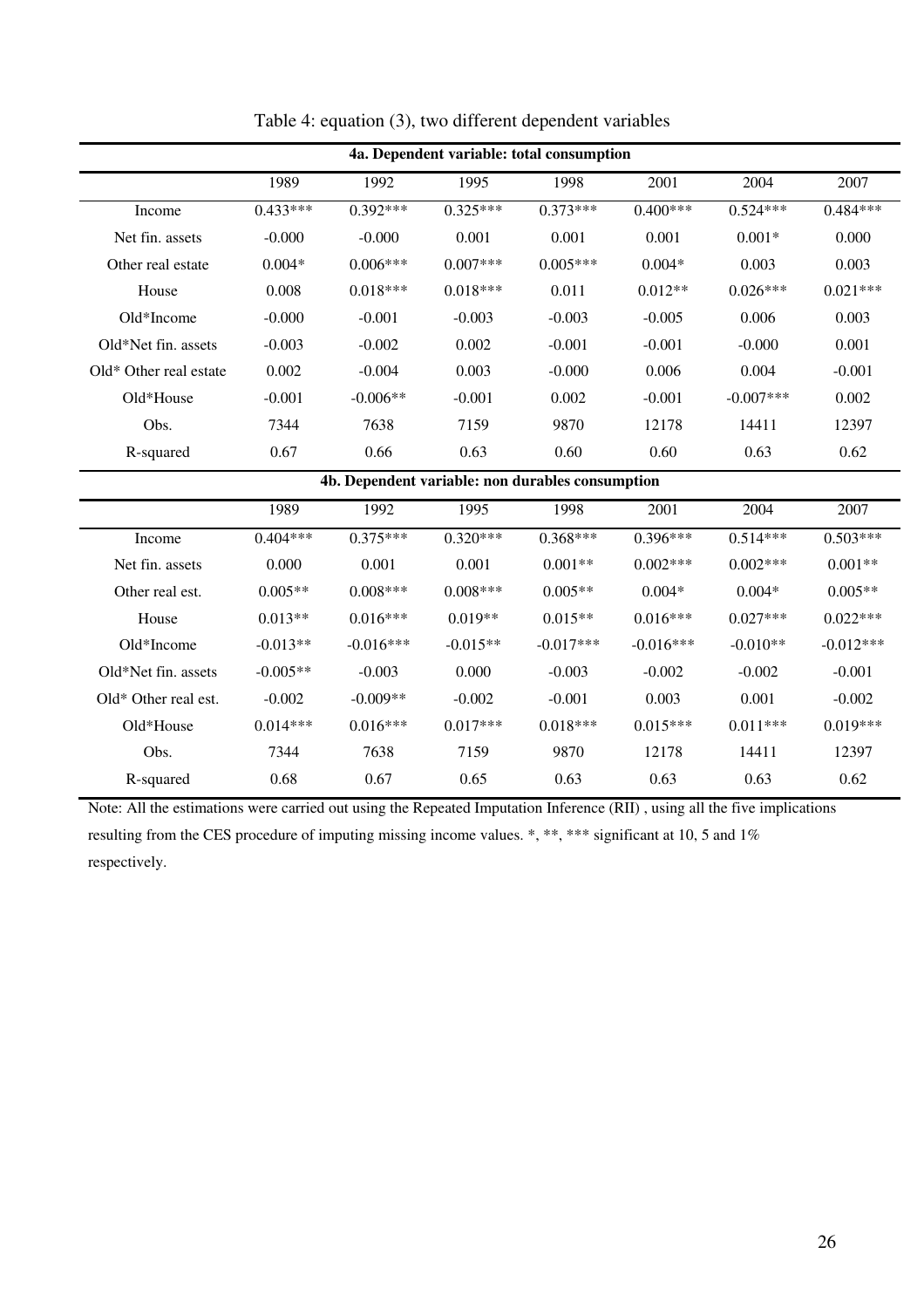| 4a. Dependent variable: total consumption |            |            |            |            |            |              |            |
|-------------------------------------------|------------|------------|------------|------------|------------|--------------|------------|
|                                           | 1989       | 1992       | 1995       | 1998       | 2001       | 2004         | 2007       |
| Income                                    | $0.433***$ | $0.392***$ | $0.325***$ | $0.373***$ | $0.400***$ | $0.524***$   | $0.484***$ |
| Net fin. assets                           | $-0.000$   | $-0.000$   | 0.001      | 0.001      | 0.001      | $0.001*$     | 0.000      |
| Other real estate                         | $0.004*$   | $0.006***$ | $0.007***$ | $0.005***$ | $0.004*$   | 0.003        | 0.003      |
| House                                     | 0.008      | $0.018***$ | $0.018***$ | 0.011      | $0.012**$  | $0.026***$   | $0.021***$ |
| $Old*Income$                              | $-0.000$   | $-0.001$   | $-0.003$   | $-0.003$   | $-0.005$   | 0.006        | 0.003      |
| Old*Net fin. assets                       | $-0.003$   | $-0.002$   | 0.002      | $-0.001$   | $-0.001$   | $-0.000$     | 0.001      |
| Old* Other real estate                    | 0.002      | $-0.004$   | 0.003      | $-0.000$   | 0.006      | 0.004        | $-0.001$   |
| $Old*House$                               | $-0.001$   | $-0.006**$ | $-0.001$   | 0.002      | $-0.001$   | $-0.007$ *** | 0.002      |
| Obs.                                      | 7344       | 7638       | 7159       | 9870       | 12178      | 14411        | 12397      |
| R-squared                                 | 0.67       | 0.66       | 0.63       | 0.60       | 0.60       | 0.63         | 0.62       |

Table 4: equation (3), two different dependent variables

**4b. Dependent variable: non durables consumption** 

|                        | 1989       | 1992        | 1995       | 1998        | 2001        | 2004       | 2007        |
|------------------------|------------|-------------|------------|-------------|-------------|------------|-------------|
| Income                 | $0.404***$ | $0.375***$  | $0.320***$ | $0.368***$  | $0.396***$  | $0.514***$ | $0.503***$  |
| Net fin. assets        | 0.000      | 0.001       | 0.001      | $0.001**$   | $0.002***$  | $0.002***$ | $0.001**$   |
| Other real est.        | $0.005**$  | $0.008***$  | $0.008***$ | $0.005**$   | $0.004*$    | $0.004*$   | $0.005**$   |
| House                  | $0.013**$  | $0.016***$  | $0.019**$  | $0.015**$   | $0.016***$  | $0.027***$ | $0.022***$  |
| $Old*Income$           | $-0.013**$ | $-0.016***$ | $-0.015**$ | $-0.017***$ | $-0.016***$ | $-0.010**$ | $-0.012***$ |
| Old*Net fin. assets    | $-0.005**$ | $-0.003$    | 0.000      | $-0.003$    | $-0.002$    | $-0.002$   | $-0.001$    |
| $Old* Other real est.$ | $-0.002$   | $-0.009**$  | $-0.002$   | $-0.001$    | 0.003       | 0.001      | $-0.002$    |
| Old*House              | $0.014***$ | $0.016***$  | $0.017***$ | $0.018***$  | $0.015***$  | $0.011***$ | $0.019***$  |
| Obs.                   | 7344       | 7638        | 7159       | 9870        | 12178       | 14411      | 12397       |
| R-squared              | 0.68       | 0.67        | 0.65       | 0.63        | 0.63        | 0.63       | 0.62        |

Note: All the estimations were carried out using the Repeated Imputation Inference (RII) , using all the five implications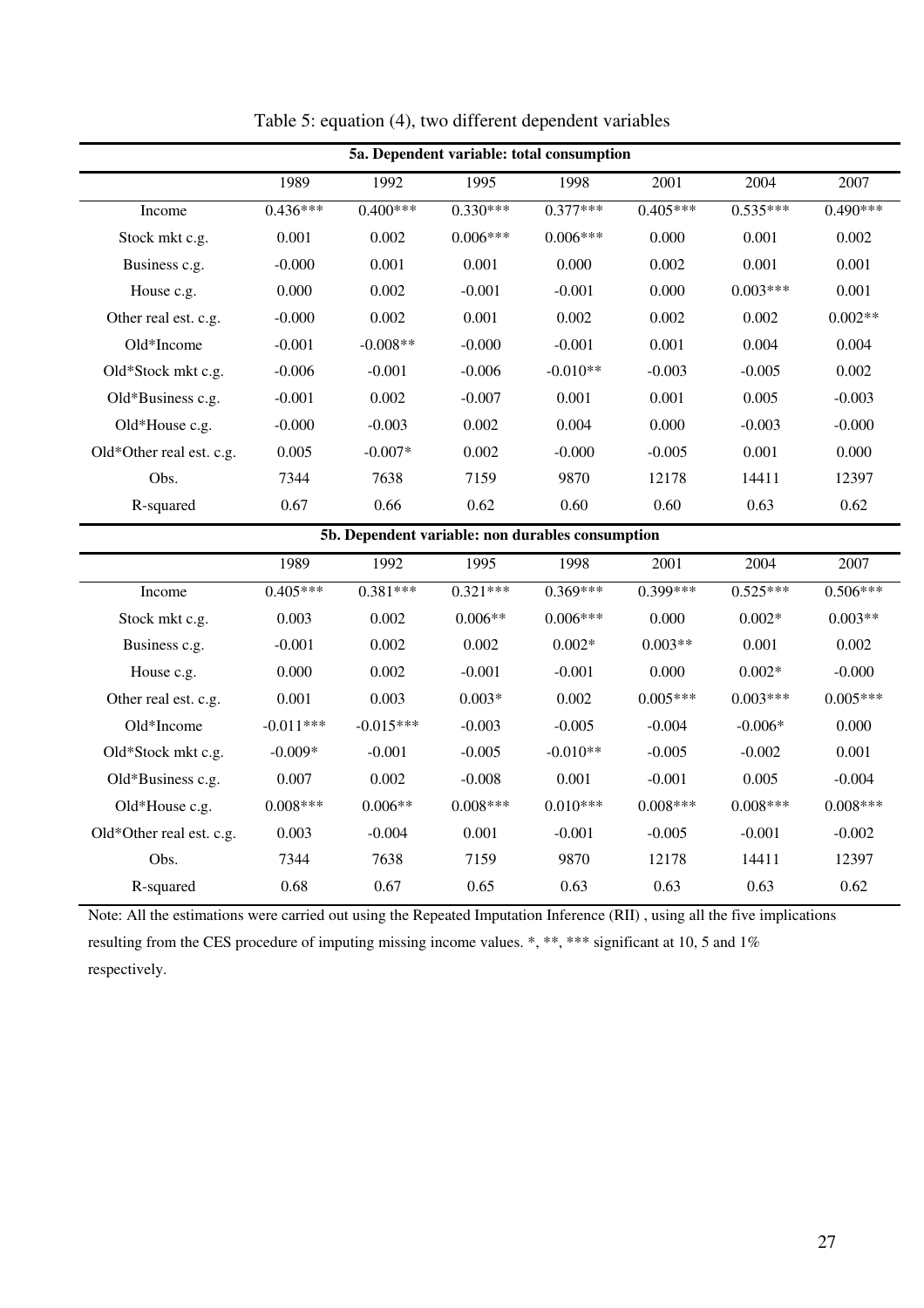| 5a. Dependent variable: total consumption |            |                                                  |            |            |            |            |            |
|-------------------------------------------|------------|--------------------------------------------------|------------|------------|------------|------------|------------|
|                                           | 1989       | 1992                                             | 1995       | 1998       | 2001       | 2004       | 2007       |
| Income                                    | $0.436***$ | $0.400***$                                       | $0.330***$ | $0.377***$ | $0.405***$ | $0.535***$ | $0.490***$ |
| Stock mkt c.g.                            | 0.001      | 0.002                                            | $0.006***$ | $0.006***$ | 0.000      | 0.001      | 0.002      |
| Business c.g.                             | $-0.000$   | 0.001                                            | 0.001      | 0.000      | 0.002      | 0.001      | 0.001      |
| House c.g.                                | 0.000      | 0.002                                            | $-0.001$   | $-0.001$   | 0.000      | $0.003***$ | 0.001      |
| Other real est. c.g.                      | $-0.000$   | 0.002                                            | 0.001      | 0.002      | 0.002      | 0.002      | $0.002**$  |
| Old*Income                                | $-0.001$   | $-0.008**$                                       | $-0.000$   | $-0.001$   | 0.001      | 0.004      | 0.004      |
| Old*Stock mkt c.g.                        | $-0.006$   | $-0.001$                                         | $-0.006$   | $-0.010**$ | $-0.003$   | $-0.005$   | 0.002      |
| Old*Business c.g.                         | $-0.001$   | 0.002                                            | $-0.007$   | 0.001      | 0.001      | 0.005      | $-0.003$   |
| Old*House c.g.                            | $-0.000$   | $-0.003$                                         | 0.002      | 0.004      | 0.000      | $-0.003$   | $-0.000$   |
| Old*Other real est. c.g.                  | 0.005      | $-0.007*$                                        | 0.002      | $-0.000$   | $-0.005$   | 0.001      | 0.000      |
| Obs.                                      | 7344       | 7638                                             | 7159       | 9870       | 12178      | 14411      | 12397      |
| R-squared                                 | 0.67       | 0.66                                             | 0.62       | 0.60       | 0.60       | 0.63       | 0.62       |
|                                           |            | 5b. Dependent variable: non durables consumption |            |            |            |            |            |
|                                           | 1989       | 1992                                             | 1995       | 1998       | 2001       | 2004       | 2007       |
| Income                                    | $0.405***$ | $0.381***$                                       | $0.321***$ | $0.369***$ | $0.399***$ | $0.525***$ | $0.506***$ |
| Stock mkt e ø                             | 0.003      | 0.002                                            | $0.006**$  | $0.006***$ | 0.000      | $0.002*$   | $0.003**$  |

Table 5: equation (4), two different dependent variables

Stock mkt c.g.  $0.003$   $0.002$   $0.006**$   $0.006***$   $0.000$   $0.002*$   $0.003**$ Business c.g.  $-0.001$   $0.002$   $0.002$   $0.002$   $0.003**$   $0.001$   $0.002$ House c.g. 6.000 0.002 -0.001 -0.001 0.000 0.002\* -0.000 Other real est. c.g.  $0.001$   $0.003$   $0.003*$   $0.002$   $0.005***$   $0.003***$   $0.005***$ Old\*Income -0.011\*\*\* -0.015\*\*\* -0.003 -0.005 -0.004 -0.006\* 0.000 Old\*Stock mkt c.g.  $-0.009*$   $-0.001$   $-0.005$   $-0.010**$   $-0.005$   $-0.002$   $0.001$ Old\*Business c.g. 0.007 0.002 -0.008 0.001 -0.001 0.005 -0.004 Old\*House c.g.  $0.008*** \hspace{1cm} 0.006*** \hspace{1cm} 0.008*** \hspace{1cm} 0.010*** \hspace{1cm} 0.008*** \hspace{1cm} 0.008*** \hspace{1cm} 0.008*** \hspace{1cm} 0.008*** \hspace{1cm} 0.008***$ Old\*Other real est. c.g. 0.003 -0.004 0.001 -0.001 -0.005 -0.001 -0.002 Obs. 7344 7638 7159 9870 12178 14411 12397 R-squared 0.68 0.67 0.65 0.63 0.63 0.63 0.62

Note: All the estimations were carried out using the Repeated Imputation Inference (RII) , using all the five implications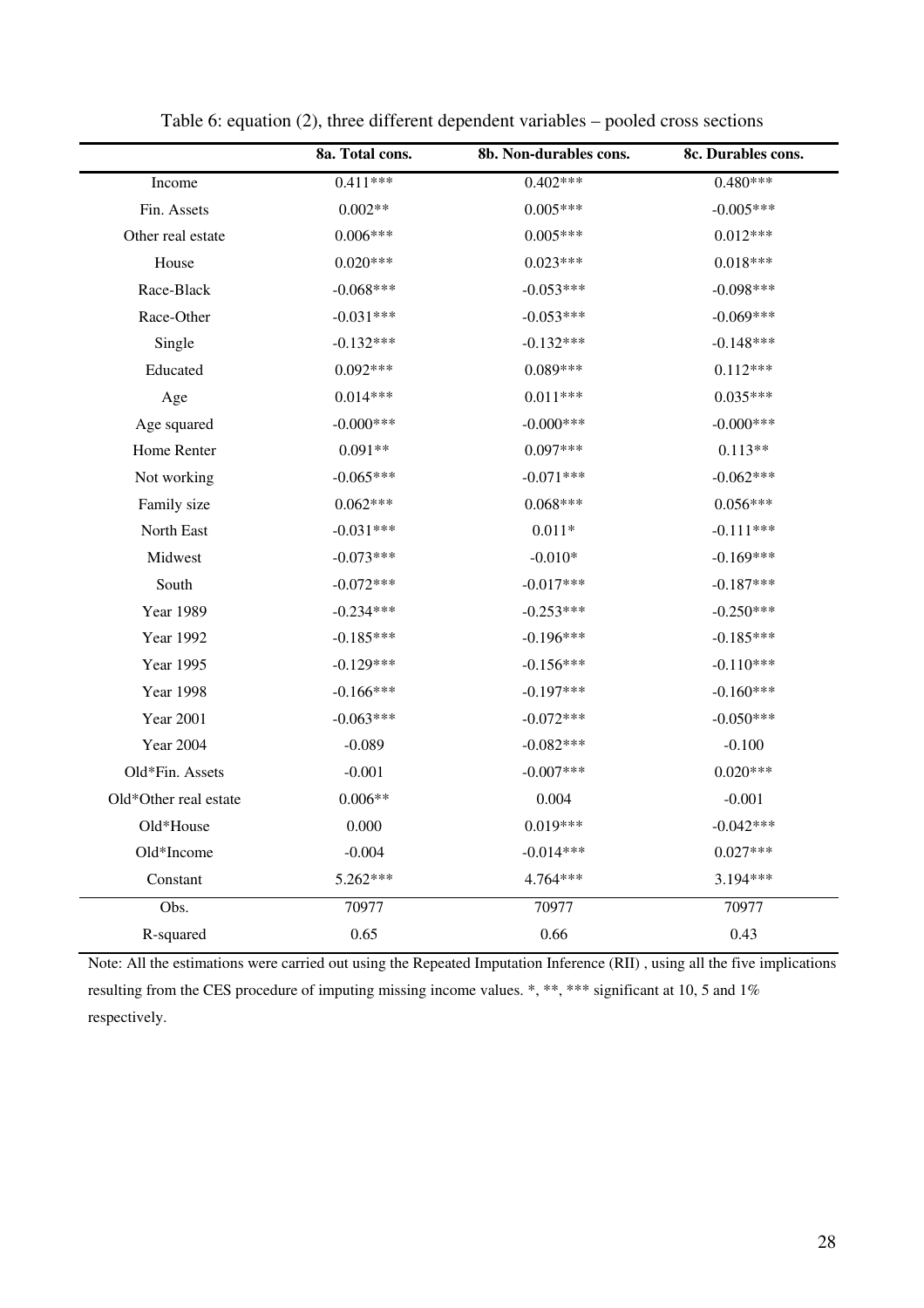|                       | 8a. Total cons. | 8b. Non-durables cons. | 8c. Durables cons. |
|-----------------------|-----------------|------------------------|--------------------|
| Income                | $0.411***$      | $0.402***$             | $0.480***$         |
| Fin. Assets           | $0.002**$       | $0.005***$             | $-0.005***$        |
| Other real estate     | $0.006***$      | $0.005***$             | $0.012***$         |
| House                 | $0.020***$      | $0.023***$             | $0.018***$         |
| Race-Black            | $-0.068***$     | $-0.053***$            | $-0.098***$        |
| Race-Other            | $-0.031***$     | $-0.053***$            | $-0.069***$        |
| Single                | $-0.132***$     | $-0.132***$            | $-0.148***$        |
| Educated              | $0.092***$      | $0.089***$             | $0.112***$         |
| Age                   | $0.014***$      | $0.011***$             | $0.035***$         |
| Age squared           | $-0.000$ ***    | $-0.000$ ***           | $-0.000$ ***       |
| Home Renter           | $0.091**$       | $0.097***$             | $0.113**$          |
| Not working           | $-0.065***$     | $-0.071***$            | $-0.062***$        |
| Family size           | $0.062***$      | $0.068***$             | $0.056***$         |
| North East            | $-0.031***$     | $0.011*$               | $-0.111***$        |
| Midwest               | $-0.073***$     | $-0.010*$              | $-0.169***$        |
| South                 | $-0.072***$     | $-0.017***$            | $-0.187***$        |
| <b>Year 1989</b>      | $-0.234***$     | $-0.253***$            | $-0.250***$        |
| <b>Year 1992</b>      | $-0.185***$     | $-0.196***$            | $-0.185***$        |
| <b>Year 1995</b>      | $-0.129***$     | $-0.156***$            | $-0.110***$        |
| <b>Year 1998</b>      | $-0.166***$     | $-0.197***$            | $-0.160***$        |
| Year 2001             | $-0.063***$     | $-0.072***$            | $-0.050***$        |
| <b>Year 2004</b>      | $-0.089$        | $-0.082***$            | $-0.100$           |
| Old*Fin. Assets       | $-0.001$        | $-0.007$ ***           | $0.020***$         |
| Old*Other real estate | $0.006**$       | 0.004                  | $-0.001$           |
| Old*House             | 0.000           | $0.019***$             | $-0.042***$        |
| Old*Income            | $-0.004$        | $-0.014***$            | $0.027***$         |
| Constant              | 5.262***        | 4.764***               | 3.194***           |
| Obs.                  | 70977           | 70977                  | 70977              |
| R-squared             | 0.65            | 0.66                   | 0.43               |

Table 6: equation (2), three different dependent variables – pooled cross sections

Note: All the estimations were carried out using the Repeated Imputation Inference (RII) , using all the five implications resulting from the CES procedure of imputing missing income values. \*, \*\*, \*\*\* significant at 10, 5 and 1% respectively.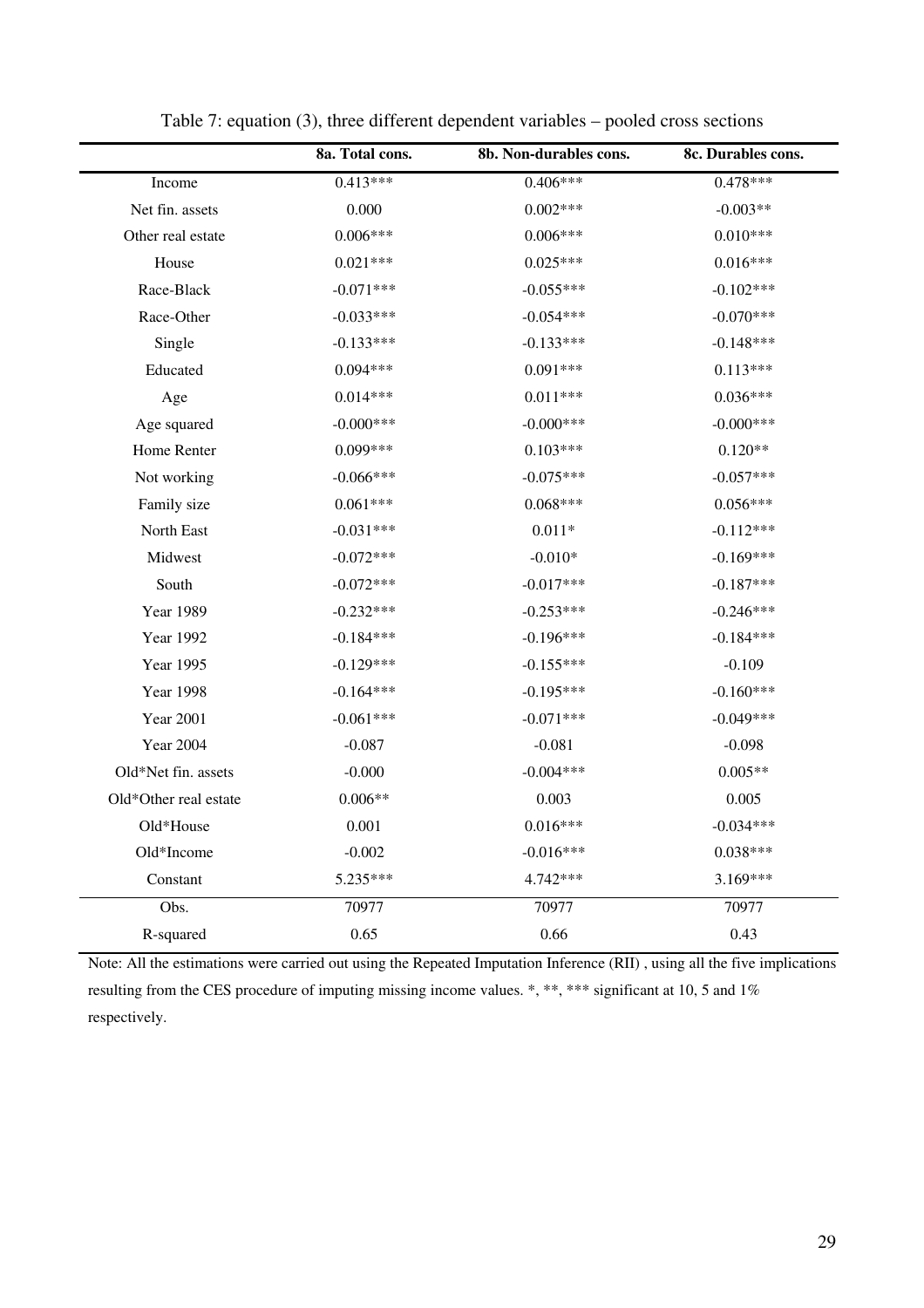|                       | 8a. Total cons. | 8b. Non-durables cons. | 8c. Durables cons. |
|-----------------------|-----------------|------------------------|--------------------|
| Income                | $0.413***$      | $0.406***$             | $0.478***$         |
| Net fin. assets       | 0.000           | $0.002***$             | $-0.003**$         |
| Other real estate     | $0.006***$      | $0.006***$             | $0.010***$         |
| House                 | $0.021***$      | $0.025***$             | $0.016***$         |
| Race-Black            | $-0.071***$     | $-0.055***$            | $-0.102***$        |
| Race-Other            | $-0.033***$     | $-0.054***$            | $-0.070***$        |
| Single                | $-0.133***$     | $-0.133***$            | $-0.148***$        |
| Educated              | $0.094***$      | $0.091***$             | $0.113***$         |
| Age                   | $0.014***$      | $0.011***$             | $0.036***$         |
| Age squared           | $-0.000$ ***    | $-0.000$ ***           | $-0.000$ ***       |
| Home Renter           | $0.099***$      | $0.103***$             | $0.120**$          |
| Not working           | $-0.066***$     | $-0.075***$            | $-0.057***$        |
| Family size           | $0.061***$      | $0.068***$             | $0.056***$         |
| North East            | $-0.031***$     | $0.011*$               | $-0.112***$        |
| Midwest               | $-0.072***$     | $-0.010*$              | $-0.169***$        |
| South                 | $-0.072***$     | $-0.017***$            | $-0.187***$        |
| <b>Year 1989</b>      | $-0.232***$     | $-0.253***$            | $-0.246***$        |
| Year 1992             | $-0.184***$     | $-0.196***$            | $-0.184***$        |
| Year 1995             | $-0.129***$     | $-0.155***$            | $-0.109$           |
| <b>Year 1998</b>      | $-0.164***$     | $-0.195***$            | $-0.160***$        |
| <b>Year 2001</b>      | $-0.061***$     | $-0.071***$            | $-0.049***$        |
| <b>Year 2004</b>      | $-0.087$        | $-0.081$               | $-0.098$           |
| Old*Net fin. assets   | $-0.000$        | $-0.004***$            | $0.005**$          |
| Old*Other real estate | $0.006**$       | 0.003                  | 0.005              |
| Old*House             | 0.001           | $0.016***$             | $-0.034***$        |
| Old*Income            | $-0.002$        | $-0.016***$            | $0.038***$         |
| Constant              | 5.235***        | 4.742***               | $3.169***$         |
| Obs.                  | 70977           | 70977                  | 70977              |
| R-squared             | 0.65            | 0.66                   | 0.43               |

Table 7: equation (3), three different dependent variables – pooled cross sections

Note: All the estimations were carried out using the Repeated Imputation Inference (RII) , using all the five implications resulting from the CES procedure of imputing missing income values. \*, \*\*, \*\*\* significant at 10, 5 and 1% respectively.